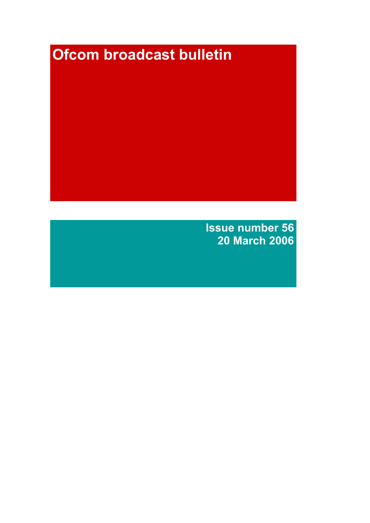# **Ofcom broadcast bulletin**

**Issue number 56 20 March 2006**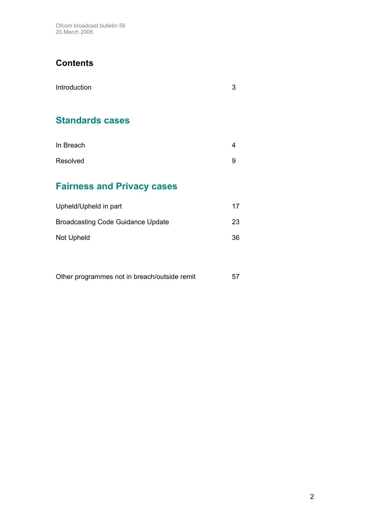Ofcom broadcast bulletin 56 20 March 2006

# **Contents**

| Introduction                             | 3  |
|------------------------------------------|----|
| <b>Standards cases</b>                   |    |
| In Breach                                | 4  |
| Resolved                                 | 9  |
| <b>Fairness and Privacy cases</b>        |    |
| Upheld/Upheld in part                    | 17 |
| <b>Broadcasting Code Guidance Update</b> | 23 |

Not Upheld 36

| Other programmes not in breach/outside remit |  |
|----------------------------------------------|--|
|----------------------------------------------|--|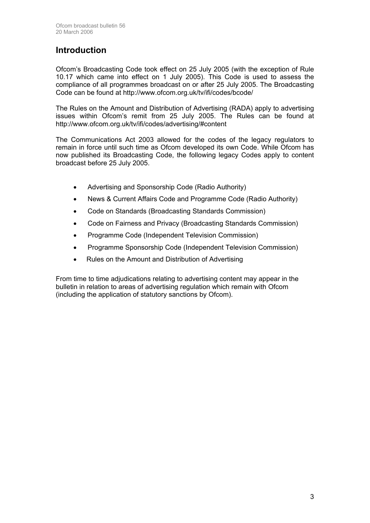# **Introduction**

Ofcom's Broadcasting Code took effect on 25 July 2005 (with the exception of Rule 10.17 which came into effect on 1 July 2005). This Code is used to assess the compliance of all programmes broadcast on or after 25 July 2005. The Broadcasting Code can be found at http://www.ofcom.org.uk/tv/ifi/codes/bcode/

The Rules on the Amount and Distribution of Advertising (RADA) apply to advertising issues within Ofcom's remit from 25 July 2005. The Rules can be found at http://www.ofcom.org.uk/tv/ifi/codes/advertising/#content

The Communications Act 2003 allowed for the codes of the legacy regulators to remain in force until such time as Ofcom developed its own Code. While Ofcom has now published its Broadcasting Code, the following legacy Codes apply to content broadcast before 25 July 2005.

- Advertising and Sponsorship Code (Radio Authority)
- News & Current Affairs Code and Programme Code (Radio Authority)
- Code on Standards (Broadcasting Standards Commission)
- Code on Fairness and Privacy (Broadcasting Standards Commission)
- Programme Code (Independent Television Commission)
- Programme Sponsorship Code (Independent Television Commission)
- Rules on the Amount and Distribution of Advertising

From time to time adjudications relating to advertising content may appear in the bulletin in relation to areas of advertising regulation which remain with Ofcom (including the application of statutory sanctions by Ofcom).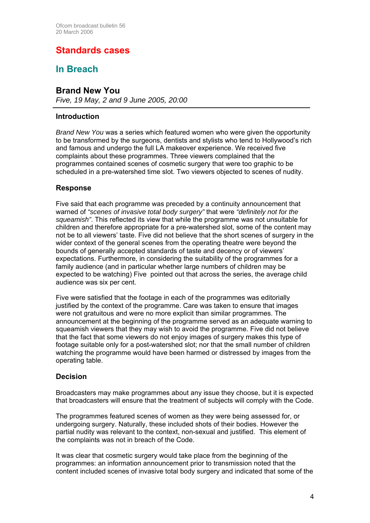# **Standards cases**

# **In Breach**

# **Brand New You**

*Five, 19 May, 2 and 9 June 2005, 20:00* 

# **Introduction**

*Brand New You* was a series which featured women who were given the opportunity to be transformed by the surgeons, dentists and stylists who tend to Hollywood's rich and famous and undergo the full LA makeover experience. We received five complaints about these programmes. Three viewers complained that the programmes contained scenes of cosmetic surgery that were too graphic to be scheduled in a pre-watershed time slot. Two viewers objected to scenes of nudity.

# **Response**

Five said that each programme was preceded by a continuity announcement that warned of *"scenes of invasive total body surgery"* that were *"definitely not for the squeamish"*. This reflected its view that while the programme was not unsuitable for children and therefore appropriate for a pre-watershed slot, some of the content may not be to all viewers' taste. Five did not believe that the short scenes of surgery in the wider context of the general scenes from the operating theatre were beyond the bounds of generally accepted standards of taste and decency or of viewers' expectations. Furthermore, in considering the suitability of the programmes for a family audience (and in particular whether large numbers of children may be expected to be watching) Five pointed out that across the series, the average child audience was six per cent.

Five were satisfied that the footage in each of the programmes was editorially justified by the context of the programme. Care was taken to ensure that images were not gratuitous and were no more explicit than similar programmes. The announcement at the beginning of the programme served as an adequate warning to squeamish viewers that they may wish to avoid the programme. Five did not believe that the fact that some viewers do not enjoy images of surgery makes this type of footage suitable only for a post-watershed slot; nor that the small number of children watching the programme would have been harmed or distressed by images from the operating table.

# **Decision**

Broadcasters may make programmes about any issue they choose, but it is expected that broadcasters will ensure that the treatment of subjects will comply with the Code.

The programmes featured scenes of women as they were being assessed for, or undergoing surgery. Naturally, these included shots of their bodies. However the partial nudity was relevant to the context, non-sexual and justified. This element of the complaints was not in breach of the Code.

It was clear that cosmetic surgery would take place from the beginning of the programmes: an information announcement prior to transmission noted that the content included scenes of invasive total body surgery and indicated that some of the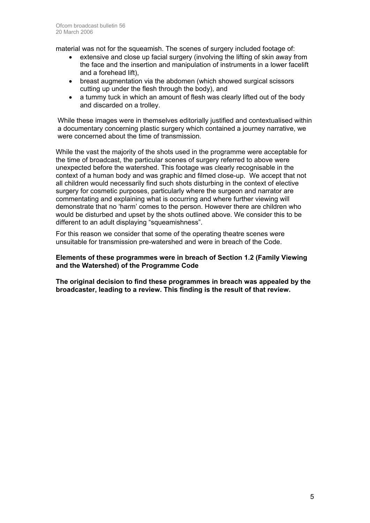material was not for the squeamish. The scenes of surgery included footage of:

- extensive and close up facial surgery (involving the lifting of skin away from the face and the insertion and manipulation of instruments in a lower facelift and a forehead lift),
- breast augmentation via the abdomen (which showed surgical scissors cutting up under the flesh through the body), and
- a tummy tuck in which an amount of flesh was clearly lifted out of the body and discarded on a trolley.

While these images were in themselves editorially justified and contextualised within a documentary concerning plastic surgery which contained a journey narrative, we were concerned about the time of transmission.

While the vast the majority of the shots used in the programme were acceptable for the time of broadcast, the particular scenes of surgery referred to above were unexpected before the watershed. This footage was clearly recognisable in the context of a human body and was graphic and filmed close-up. We accept that not all children would necessarily find such shots disturbing in the context of elective surgery for cosmetic purposes, particularly where the surgeon and narrator are commentating and explaining what is occurring and where further viewing will demonstrate that no 'harm' comes to the person. However there are children who would be disturbed and upset by the shots outlined above. We consider this to be different to an adult displaying "squeamishness".

For this reason we consider that some of the operating theatre scenes were unsuitable for transmission pre-watershed and were in breach of the Code.

# **Elements of these programmes were in breach of Section 1.2 (Family Viewing and the Watershed) of the Programme Code**

**The original decision to find these programmes in breach was appealed by the broadcaster, leading to a review. This finding is the result of that review.**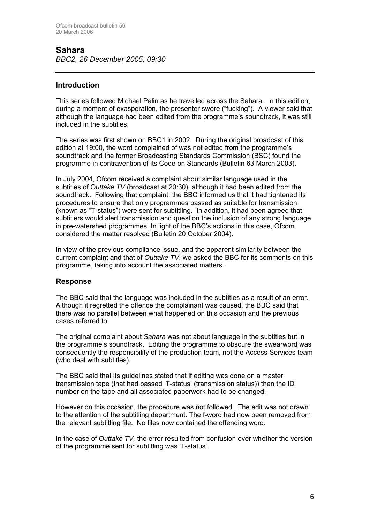# **Sahara**

*BBC2, 26 December 2005, 09:30*

# **Introduction**

This series followed Michael Palin as he travelled across the Sahara. In this edition, during a moment of exasperation, the presenter swore ("fucking"). A viewer said that although the language had been edited from the programme's soundtrack, it was still included in the subtitles.

The series was first shown on BBC1 in 2002. During the original broadcast of this edition at 19:00, the word complained of was not edited from the programme's soundtrack and the former Broadcasting Standards Commission (BSC) found the programme in contravention of its Code on Standards (Bulletin 63 March 2003).

In July 2004, Ofcom received a complaint about similar language used in the subtitles of O*uttake TV* (broadcast at 20:30), although it had been edited from the soundtrack. Following that complaint, the BBC informed us that it had tightened its procedures to ensure that only programmes passed as suitable for transmission (known as "T-status") were sent for subtitling. In addition, it had been agreed that subtitlers would alert transmission and question the inclusion of any strong language in pre-watershed programmes. In light of the BBC's actions in this case, Ofcom considered the matter resolved (Bulletin 20 October 2004).

In view of the previous compliance issue, and the apparent similarity between the current complaint and that of *Outtake TV*, we asked the BBC for its comments on this programme, taking into account the associated matters.

# **Response**

The BBC said that the language was included in the subtitles as a result of an error. Although it regretted the offence the complainant was caused, the BBC said that there was no parallel between what happened on this occasion and the previous cases referred to.

The original complaint about *Sahara* was not about language in the subtitles but in the programme's soundtrack. Editing the programme to obscure the swearword was consequently the responsibility of the production team, not the Access Services team (who deal with subtitles).

The BBC said that its guidelines stated that if editing was done on a master transmission tape (that had passed 'T-status' (transmission status)) then the ID number on the tape and all associated paperwork had to be changed.

However on this occasion, the procedure was not followed. The edit was not drawn to the attention of the subtitling department. The f-word had now been removed from the relevant subtitling file. No files now contained the offending word.

In the case of *Outtake TV,* the error resulted from confusion over whether the version of the programme sent for subtitling was 'T-status'.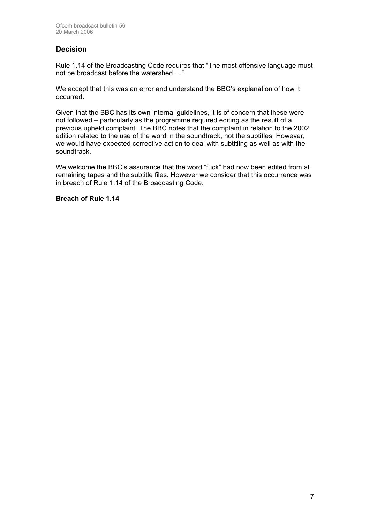# **Decision**

Rule 1.14 of the Broadcasting Code requires that "The most offensive language must not be broadcast before the watershed….".

We accept that this was an error and understand the BBC's explanation of how it occurred.

Given that the BBC has its own internal guidelines, it is of concern that these were not followed – particularly as the programme required editing as the result of a previous upheld complaint. The BBC notes that the complaint in relation to the 2002 edition related to the use of the word in the soundtrack, not the subtitles. However, we would have expected corrective action to deal with subtitling as well as with the soundtrack.

We welcome the BBC's assurance that the word "fuck" had now been edited from all remaining tapes and the subtitle files. However we consider that this occurrence was in breach of Rule 1.14 of the Broadcasting Code.

# **Breach of Rule 1.14**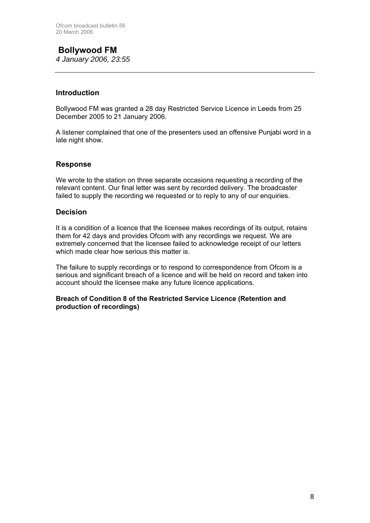# **Bollywood FM**  *4 January 2006, 23:55*

# **Introduction**

Bollywood FM was granted a 28 day Restricted Service Licence in Leeds from 25 December 2005 to 21 January 2006.

A listener complained that one of the presenters used an offensive Punjabi word in a late night show.

# **Response**

We wrote to the station on three separate occasions requesting a recording of the relevant content. Our final letter was sent by recorded delivery. The broadcaster failed to supply the recording we requested or to reply to any of our enquiries.

# **Decision**

It is a condition of a licence that the licensee makes recordings of its output, retains them for 42 days and provides Ofcom with any recordings we request. We are extremely concerned that the licensee failed to acknowledge receipt of our letters which made clear how serious this matter is.

The failure to supply recordings or to respond to correspondence from Ofcom is a serious and significant breach of a licence and will be held on record and taken into account should the licensee make any future licence applications.

**Breach of Condition 8 of the Restricted Service Licence (Retention and production of recordings)**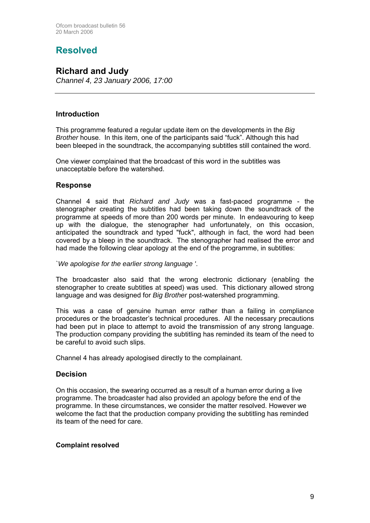# **Resolved**

# **Richard and Judy**

*Channel 4, 23 January 2006, 17:00*

# **Introduction**

This programme featured a regular update item on the developments in the *Big Brother* house. In this item, one of the participants said "fuck". Although this had been bleeped in the soundtrack, the accompanying subtitles still contained the word.

One viewer complained that the broadcast of this word in the subtitles was unacceptable before the watershed.

# **Response**

Channel 4 said that *Richard and Judy* was a fast-paced programme - the stenographer creating the subtitles had been taking down the soundtrack of the programme at speeds of more than 200 words per minute. In endeavouring to keep up with the dialogue, the stenographer had unfortunately, on this occasion, anticipated the soundtrack and typed "fuck", although in fact, the word had been covered by a bleep in the soundtrack. The stenographer had realised the error and had made the following clear apology at the end of the programme, in subtitles:

*`We apologise for the earlier strong language '*.

The broadcaster also said that the wrong electronic dictionary (enabling the stenographer to create subtitles at speed) was used. This dictionary allowed strong language and was designed for *Big Brother* post-watershed programming.

This was a case of genuine human error rather than a failing in compliance procedures or the broadcaster's technical procedures. All the necessary precautions had been put in place to attempt to avoid the transmission of any strong language. The production company providing the subtitling has reminded its team of the need to be careful to avoid such slips.

Channel 4 has already apologised directly to the complainant.

# **Decision**

On this occasion, the swearing occurred as a result of a human error during a live programme. The broadcaster had also provided an apology before the end of the programme. In these circumstances, we consider the matter resolved. However we welcome the fact that the production company providing the subtitling has reminded its team of the need for care.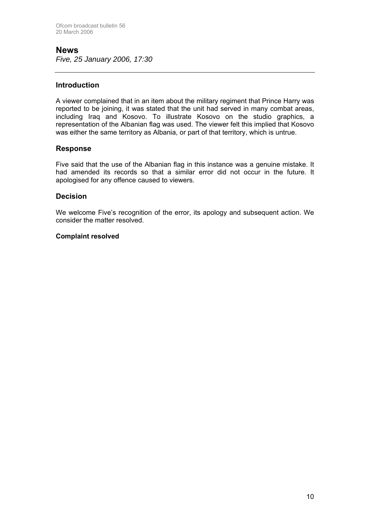# **News**

*Five, 25 January 2006, 17:30*

# **Introduction**

A viewer complained that in an item about the military regiment that Prince Harry was reported to be joining, it was stated that the unit had served in many combat areas, including Iraq and Kosovo. To illustrate Kosovo on the studio graphics, a representation of the Albanian flag was used. The viewer felt this implied that Kosovo was either the same territory as Albania, or part of that territory, which is untrue.

# **Response**

Five said that the use of the Albanian flag in this instance was a genuine mistake. It had amended its records so that a similar error did not occur in the future. It apologised for any offence caused to viewers.

# **Decision**

We welcome Five's recognition of the error, its apology and subsequent action. We consider the matter resolved.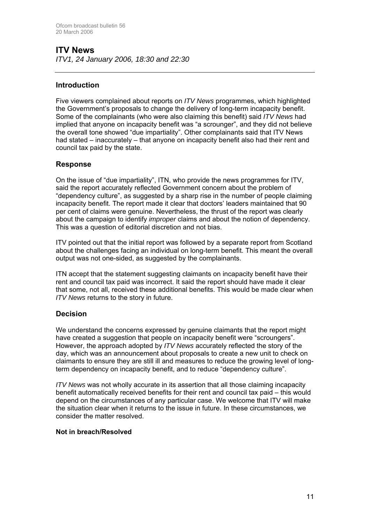# **ITV News**

*ITV1, 24 January 2006, 18:30 and 22:30*

# **Introduction**

Five viewers complained about reports on *ITV News* programmes, which highlighted the Government's proposals to change the delivery of long-term incapacity benefit. Some of the complainants (who were also claiming this benefit) said *ITV News* had implied that anyone on incapacity benefit was "a scrounger", and they did not believe the overall tone showed "due impartiality". Other complainants said that ITV News had stated – inaccurately – that anyone on incapacity benefit also had their rent and council tax paid by the state.

# **Response**

On the issue of "due impartiality", ITN, who provide the news programmes for ITV, said the report accurately reflected Government concern about the problem of "dependency culture", as suggested by a sharp rise in the number of people claiming incapacity benefit. The report made it clear that doctors' leaders maintained that 90 per cent of claims were genuine. Nevertheless, the thrust of the report was clearly about the campaign to identify *improper* claims and about the notion of dependency. This was a question of editorial discretion and not bias.

ITV pointed out that the initial report was followed by a separate report from Scotland about the challenges facing an individual on long-term benefit. This meant the overall output was not one-sided, as suggested by the complainants.

ITN accept that the statement suggesting claimants on incapacity benefit have their rent and council tax paid was incorrect. It said the report should have made it clear that some, not all, received these additional benefits. This would be made clear when *ITV News* returns to the story in future.

# **Decision**

We understand the concerns expressed by genuine claimants that the report might have created a suggestion that people on incapacity benefit were "scroungers". However, the approach adopted by *ITV News* accurately reflected the story of the day, which was an announcement about proposals to create a new unit to check on claimants to ensure they are still ill and measures to reduce the growing level of longterm dependency on incapacity benefit, and to reduce "dependency culture".

*ITV News* was not wholly accurate in its assertion that all those claiming incapacity benefit automatically received benefits for their rent and council tax paid – this would depend on the circumstances of any particular case. We welcome that ITV will make the situation clear when it returns to the issue in future. In these circumstances, we consider the matter resolved.

# **Not in breach/Resolved**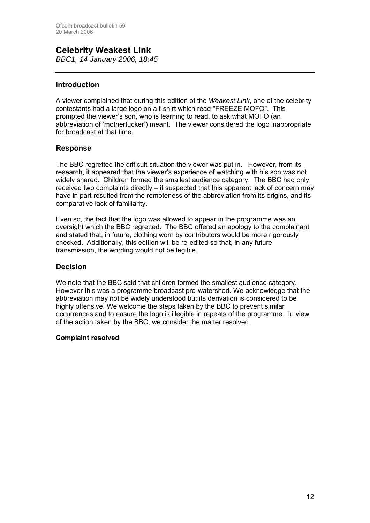**Celebrity Weakest Link**  *BBC1, 14 January 2006, 18:45*

# **Introduction**

A viewer complained that during this edition of the *Weakest Link*, one of the celebrity contestants had a large logo on a t-shirt which read "FREEZE MOFO". This prompted the viewer's son, who is learning to read, to ask what MOFO (an abbreviation of 'motherfucker') meant. The viewer considered the logo inappropriate for broadcast at that time.

# **Response**

The BBC regretted the difficult situation the viewer was put in. However, from its research, it appeared that the viewer's experience of watching with his son was not widely shared. Children formed the smallest audience category. The BBC had only received two complaints directly – it suspected that this apparent lack of concern may have in part resulted from the remoteness of the abbreviation from its origins, and its comparative lack of familiarity.

Even so, the fact that the logo was allowed to appear in the programme was an oversight which the BBC regretted. The BBC offered an apology to the complainant and stated that, in future, clothing worn by contributors would be more rigorously checked. Additionally, this edition will be re-edited so that, in any future transmission, the wording would not be legible.

# **Decision**

We note that the BBC said that children formed the smallest audience category. However this was a programme broadcast pre-watershed. We acknowledge that the abbreviation may not be widely understood but its derivation is considered to be highly offensive. We welcome the steps taken by the BBC to prevent similar occurrences and to ensure the logo is illegible in repeats of the programme. In view of the action taken by the BBC, we consider the matter resolved.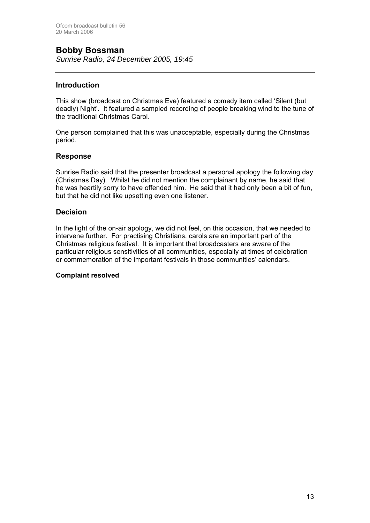# **Bobby Bossman**

*Sunrise Radio, 24 December 2005, 19:45* 

# **Introduction**

This show (broadcast on Christmas Eve) featured a comedy item called 'Silent (but deadly) Night'. It featured a sampled recording of people breaking wind to the tune of the traditional Christmas Carol.

One person complained that this was unacceptable, especially during the Christmas period.

# **Response**

Sunrise Radio said that the presenter broadcast a personal apology the following day (Christmas Day). Whilst he did not mention the complainant by name, he said that he was heartily sorry to have offended him. He said that it had only been a bit of fun, but that he did not like upsetting even one listener.

# **Decision**

In the light of the on-air apology, we did not feel, on this occasion, that we needed to intervene further. For practising Christians, carols are an important part of the Christmas religious festival. It is important that broadcasters are aware of the particular religious sensitivities of all communities, especially at times of celebration or commemoration of the important festivals in those communities' calendars.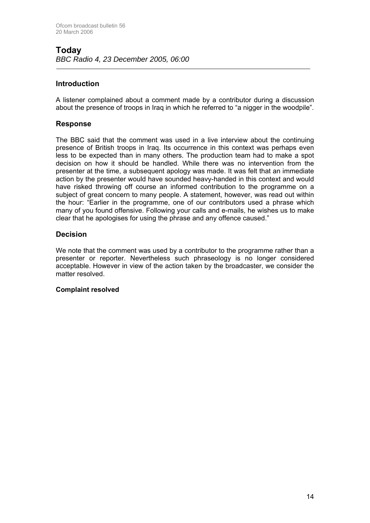# **Introduction**

A listener complained about a comment made by a contributor during a discussion about the presence of troops in Iraq in which he referred to "a nigger in the woodpile".

# **Response**

The BBC said that the comment was used in a live interview about the continuing presence of British troops in Iraq. Its occurrence in this context was perhaps even less to be expected than in many others. The production team had to make a spot decision on how it should be handled. While there was no intervention from the presenter at the time, a subsequent apology was made. It was felt that an immediate action by the presenter would have sounded heavy-handed in this context and would have risked throwing off course an informed contribution to the programme on a subject of great concern to many people. A statement, however, was read out within the hour: "Earlier in the programme, one of our contributors used a phrase which many of you found offensive. Following your calls and e-mails, he wishes us to make clear that he apologises for using the phrase and any offence caused."

# **Decision**

We note that the comment was used by a contributor to the programme rather than a presenter or reporter. Nevertheless such phraseology is no longer considered acceptable. However in view of the action taken by the broadcaster, we consider the matter resolved.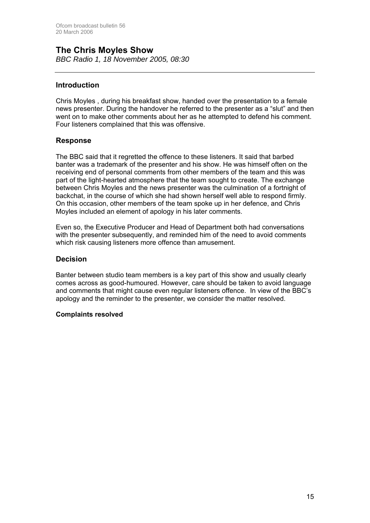# **The Chris Moyles Show**

*BBC Radio 1, 18 November 2005, 08:30*

# **Introduction**

Chris Moyles , during his breakfast show, handed over the presentation to a female news presenter. During the handover he referred to the presenter as a "slut" and then went on to make other comments about her as he attempted to defend his comment. Four listeners complained that this was offensive.

# **Response**

The BBC said that it regretted the offence to these listeners. It said that barbed banter was a trademark of the presenter and his show. He was himself often on the receiving end of personal comments from other members of the team and this was part of the light-hearted atmosphere that the team sought to create. The exchange between Chris Moyles and the news presenter was the culmination of a fortnight of backchat, in the course of which she had shown herself well able to respond firmly. On this occasion, other members of the team spoke up in her defence, and Chris Moyles included an element of apology in his later comments.

Even so, the Executive Producer and Head of Department both had conversations with the presenter subsequently, and reminded him of the need to avoid comments which risk causing listeners more offence than amusement.

# **Decision**

Banter between studio team members is a key part of this show and usually clearly comes across as good-humoured. However, care should be taken to avoid language and comments that might cause even regular listeners offence. In view of the BBC's apology and the reminder to the presenter, we consider the matter resolved.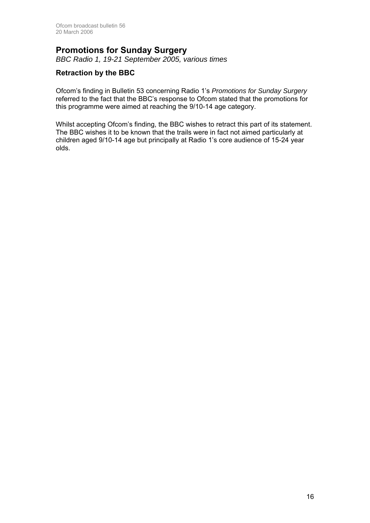# **Promotions for Sunday Surgery**

*BBC Radio 1, 19-21 September 2005, various times*

# **Retraction by the BBC**

Ofcom's finding in Bulletin 53 concerning Radio 1's *Promotions for Sunday Surgery* referred to the fact that the BBC's response to Ofcom stated that the promotions for this programme were aimed at reaching the 9/10-14 age category.

Whilst accepting Ofcom's finding, the BBC wishes to retract this part of its statement. The BBC wishes it to be known that the trails were in fact not aimed particularly at children aged 9/10-14 age but principally at Radio 1's core audience of 15-24 year olds.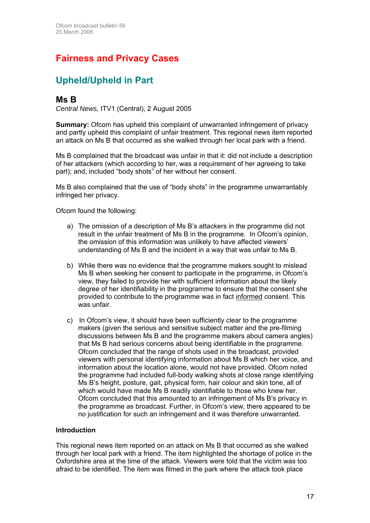# **Fairness and Privacy Cases**

# **Upheld/Upheld in Part**

# **Ms B**

*Central News,* ITV1 (Central), 2 August 2005

**Summary:** Ofcom has upheld this complaint of unwarranted infringement of privacy and partly upheld this complaint of unfair treatment. This regional news item reported an attack on Ms B that occurred as she walked through her local park with a friend.

Ms B complained that the broadcast was unfair in that it: did not include a description of her attackers (which according to her, was a requirement of her agreeing to take part); and, included "body shots" of her without her consent.

Ms B also complained that the use of "body shots" in the programme unwarrantably infringed her privacy.

Ofcom found the following:

- a) The omission of a description of Ms B's attackers in the programme did not result in the unfair treatment of Ms B in the programme. In Ofcom's opinion, the omission of this information was unlikely to have affected viewers' understanding of Ms B and the incident in a way that was unfair to Ms B.
- b) While there was no evidence that the programme makers sought to mislead Ms B when seeking her consent to participate in the programme, in Ofcom's view, they failed to provide her with sufficient information about the likely degree of her identifiability in the programme to ensure that the consent she provided to contribute to the programme was in fact informed consent. This was unfair.
- c) In Ofcom's view, it should have been sufficiently clear to the programme makers (given the serious and sensitive subject matter and the pre-filming discussions between Ms B and the programme makers about camera angles) that Ms B had serious concerns about being identifiable in the programme. Ofcom concluded that the range of shots used in the broadcast, provided viewers with personal identifying information about Ms B which her voice, and information about the location alone, would not have provided. Ofcom noted the programme had included full-body walking shots at close range identifying Ms B's height, posture, gait, physical form, hair colour and skin tone, all of which would have made Ms B readily identifiable to those who knew her. Ofcom concluded that this amounted to an infringement of Ms B's privacy in the programme as broadcast. Further, in Ofcom's view, there appeared to be no justification for such an infringement and it was therefore unwarranted.

# **Introduction**

This regional news item reported on an attack on Ms B that occurred as she walked through her local park with a friend. The item highlighted the shortage of police in the Oxfordshire area at the time of the attack. Viewers were told that the victim was too afraid to be identified. The item was filmed in the park where the attack took place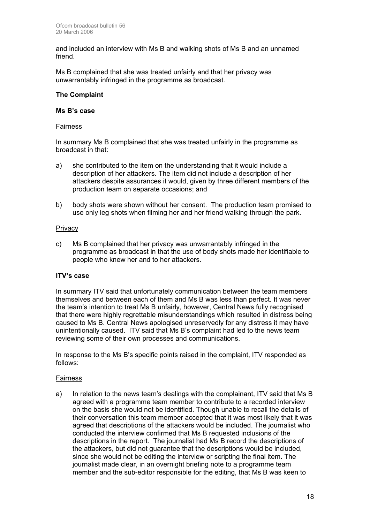and included an interview with Ms B and walking shots of Ms B and an unnamed friend.

Ms B complained that she was treated unfairly and that her privacy was unwarrantably infringed in the programme as broadcast.

### **The Complaint**

#### **Ms B's case**

#### Fairness

In summary Ms B complained that she was treated unfairly in the programme as broadcast in that:

- a) she contributed to the item on the understanding that it would include a description of her attackers. The item did not include a description of her attackers despite assurances it would, given by three different members of the production team on separate occasions; and
- b) body shots were shown without her consent. The production team promised to use only leg shots when filming her and her friend walking through the park.

#### **Privacy**

c) Ms B complained that her privacy was unwarrantably infringed in the programme as broadcast in that the use of body shots made her identifiable to people who knew her and to her attackers.

#### **ITV's case**

In summary ITV said that unfortunately communication between the team members themselves and between each of them and Ms B was less than perfect. It was never the team's intention to treat Ms B unfairly, however, Central News fully recognised that there were highly regrettable misunderstandings which resulted in distress being caused to Ms B. Central News apologised unreservedly for any distress it may have unintentionally caused. ITV said that Ms B's complaint had led to the news team reviewing some of their own processes and communications.

In response to the Ms B's specific points raised in the complaint, ITV responded as follows:

#### Fairness

a) In relation to the news team's dealings with the complainant, ITV said that Ms B agreed with a programme team member to contribute to a recorded interview on the basis she would not be identified. Though unable to recall the details of their conversation this team member accepted that it was most likely that it was agreed that descriptions of the attackers would be included. The journalist who conducted the interview confirmed that Ms B requested inclusions of the descriptions in the report. The journalist had Ms B record the descriptions of the attackers, but did not guarantee that the descriptions would be included, since she would not be editing the interview or scripting the final item. The journalist made clear, in an overnight briefing note to a programme team member and the sub-editor responsible for the editing, that Ms B was keen to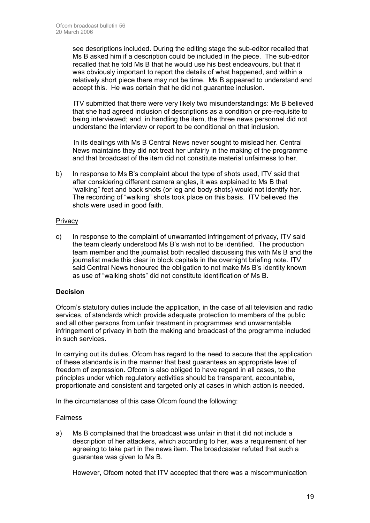see descriptions included. During the editing stage the sub-editor recalled that Ms B asked him if a description could be included in the piece. The sub-editor recalled that he told Ms B that he would use his best endeavours, but that it was obviously important to report the details of what happened, and within a relatively short piece there may not be time. Ms B appeared to understand and accept this. He was certain that he did not guarantee inclusion.

 ITV submitted that there were very likely two misunderstandings: Ms B believed that she had agreed inclusion of descriptions as a condition or pre-requisite to being interviewed; and, in handling the item, the three news personnel did not understand the interview or report to be conditional on that inclusion.

 In its dealings with Ms B Central News never sought to mislead her. Central News maintains they did not treat her unfairly in the making of the programme and that broadcast of the item did not constitute material unfairness to her.

b) In response to Ms B's complaint about the type of shots used, ITV said that after considering different camera angles, it was explained to Ms B that "walking" feet and back shots (or leg and body shots) would not identify her. The recording of "walking" shots took place on this basis. ITV believed the shots were used in good faith.

#### **Privacy**

c) In response to the complaint of unwarranted infringement of privacy, ITV said the team clearly understood Ms B's wish not to be identified. The production team member and the journalist both recalled discussing this with Ms B and the journalist made this clear in block capitals in the overnight briefing note. ITV said Central News honoured the obligation to not make Ms B's identity known as use of "walking shots" did not constitute identification of Ms B.

# **Decision**

Ofcom's statutory duties include the application, in the case of all television and radio services, of standards which provide adequate protection to members of the public and all other persons from unfair treatment in programmes and unwarrantable infringement of privacy in both the making and broadcast of the programme included in such services.

In carrying out its duties, Ofcom has regard to the need to secure that the application of these standards is in the manner that best guarantees an appropriate level of freedom of expression. Ofcom is also obliged to have regard in all cases, to the principles under which regulatory activities should be transparent, accountable, proportionate and consistent and targeted only at cases in which action is needed.

In the circumstances of this case Ofcom found the following:

#### Fairness

a) Ms B complained that the broadcast was unfair in that it did not include a description of her attackers, which according to her, was a requirement of her agreeing to take part in the news item. The broadcaster refuted that such a guarantee was given to Ms B.

However, Ofcom noted that ITV accepted that there was a miscommunication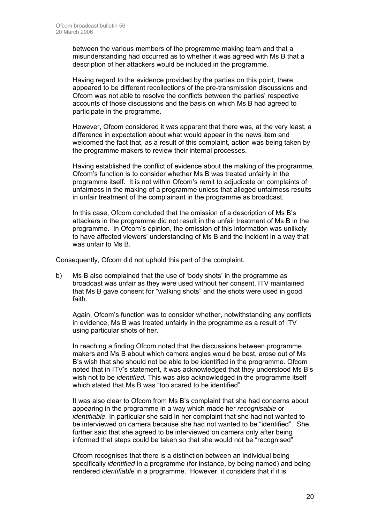between the various members of the programme making team and that a misunderstanding had occurred as to whether it was agreed with Ms B that a description of her attackers would be included in the programme.

 Having regard to the evidence provided by the parties on this point, there appeared to be different recollections of the pre-transmission discussions and Ofcom was not able to resolve the conflicts between the parties' respective accounts of those discussions and the basis on which Ms B had agreed to participate in the programme.

 However, Ofcom considered it was apparent that there was, at the very least, a difference in expectation about what would appear in the news item and welcomed the fact that, as a result of this complaint, action was being taken by the programme makers to review their internal processes.

 Having established the conflict of evidence about the making of the programme, Ofcom's function is to consider whether Ms B was treated unfairly in the programme itself. It is not within Ofcom's remit to adjudicate on complaints of unfairness in the making of a programme unless that alleged unfairness results in unfair treatment of the complainant in the programme as broadcast.

 In this case, Ofcom concluded that the omission of a description of Ms B's attackers in the programme did not result in the unfair treatment of Ms B in the programme. In Ofcom's opinion, the omission of this information was unlikely to have affected viewers' understanding of Ms B and the incident in a way that was unfair to Ms B.

Consequently, Ofcom did not uphold this part of the complaint.

b) Ms B also complained that the use of 'body shots' in the programme as broadcast was unfair as they were used without her consent. ITV maintained that Ms B gave consent for "walking shots" and the shots were used in good faith.

 Again, Ofcom's function was to consider whether, notwithstanding any conflicts in evidence, Ms B was treated unfairly in the programme as a result of ITV using particular shots of her.

In reaching a finding Ofcom noted that the discussions between programme makers and Ms B about which camera angles would be best, arose out of Ms B's wish that she should not be able to be identified in the programme. Ofcom noted that in ITV's statement, it was acknowledged that they understood Ms B's wish not to be *identified.* This was also acknowledged in the programme itself which stated that Ms B was "too scared to be identified".

It was also clear to Ofcom from Ms B's complaint that she had concerns about appearing in the programme in a way which made her *recognisable* or *identifiable.* In particular she said in her complaint that she had not wanted to be interviewed on camera because she had not wanted to be "identified". She further said that she agreed to be interviewed on camera only after being informed that steps could be taken so that she would not be "recognised".

Ofcom recognises that there is a distinction between an individual being specifically *identified* in a programme (for instance, by being named) and being rendered *identifiable* in a programme. However, it considers that if it is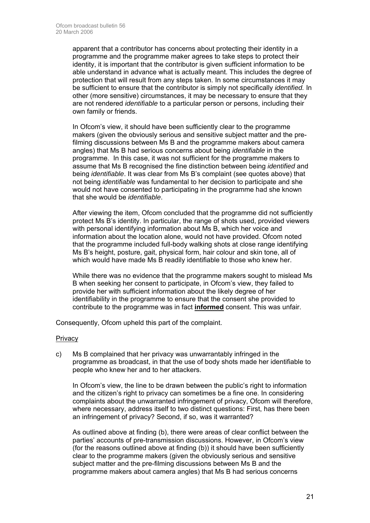apparent that a contributor has concerns about protecting their identity in a programme and the programme maker agrees to take steps to protect their identity, it is important that the contributor is given sufficient information to be able understand in advance what is actually meant. This includes the degree of protection that will result from any steps taken. In some circumstances it may be sufficient to ensure that the contributor is simply not specifically *identified.* In other (more sensitive) circumstances, it may be necessary to ensure that they are not rendered *identifiable* to a particular person or persons, including their own family or friends.

In Ofcom's view, it should have been sufficiently clear to the programme makers (given the obviously serious and sensitive subject matter and the prefilming discussions between Ms B and the programme makers about camera angles) that Ms B had serious concerns about being *identifiable* in the programme. In this case, it was not sufficient for the programme makers to assume that Ms B recognised the fine distinction between being *identified* and being *identifiable*. It was clear from Ms B's complaint (see quotes above) that not being *identifiable* was fundamental to her decision to participate and she would not have consented to participating in the programme had she known that she would be *identifiable*.

 After viewing the item, Ofcom concluded that the programme did not sufficiently protect Ms B's identity. In particular, the range of shots used, provided viewers with personal identifying information about Ms B, which her voice and information about the location alone, would not have provided. Ofcom noted that the programme included full-body walking shots at close range identifying Ms B's height, posture, gait, physical form, hair colour and skin tone, all of which would have made Ms B readily identifiable to those who knew her.

 While there was no evidence that the programme makers sought to mislead Ms B when seeking her consent to participate, in Ofcom's view, they failed to provide her with sufficient information about the likely degree of her identifiability in the programme to ensure that the consent she provided to contribute to the programme was in fact **informed** consent. This was unfair.

Consequently, Ofcom upheld this part of the complaint.

#### **Privacy**

c) Ms B complained that her privacy was unwarrantably infringed in the programme as broadcast, in that the use of body shots made her identifiable to people who knew her and to her attackers.

In Ofcom's view, the line to be drawn between the public's right to information and the citizen's right to privacy can sometimes be a fine one. In considering complaints about the unwarranted infringement of privacy, Ofcom will therefore, where necessary, address itself to two distinct questions: First, has there been an infringement of privacy? Second, if so, was it warranted?

 As outlined above at finding (b), there were areas of clear conflict between the parties' accounts of pre-transmission discussions. However, in Ofcom's view (for the reasons outlined above at finding (b)) it should have been sufficiently clear to the programme makers (given the obviously serious and sensitive subject matter and the pre-filming discussions between Ms B and the programme makers about camera angles) that Ms B had serious concerns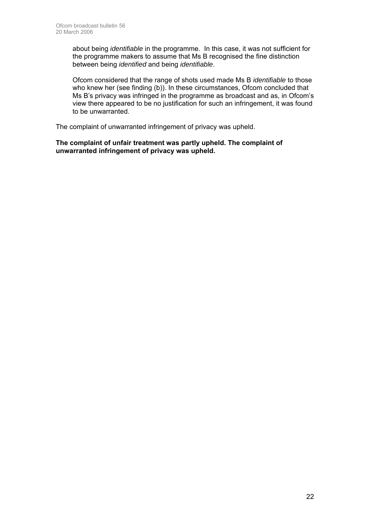about being *identifiable* in the programme. In this case, it was not sufficient for the programme makers to assume that Ms B recognised the fine distinction between being *identified* and being *identifiable*.

 Ofcom considered that the range of shots used made Ms B *identifiable* to those who knew her (see finding (b)). In these circumstances, Ofcom concluded that Ms B's privacy was infringed in the programme as broadcast and as, in Ofcom's view there appeared to be no justification for such an infringement, it was found to be unwarranted.

The complaint of unwarranted infringement of privacy was upheld.

# **The complaint of unfair treatment was partly upheld. The complaint of unwarranted infringement of privacy was upheld.**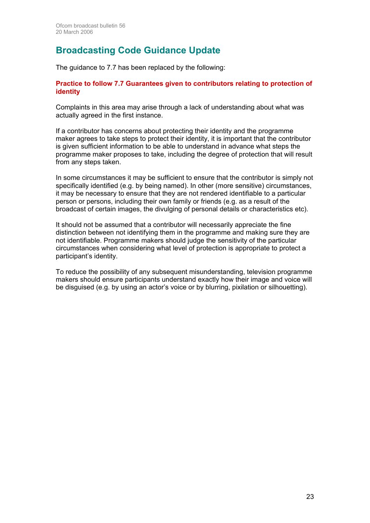# **Broadcasting Code Guidance Update**

The guidance to 7.7 has been replaced by the following:

# **Practice to follow 7.7 Guarantees given to contributors relating to protection of identity**

Complaints in this area may arise through a lack of understanding about what was actually agreed in the first instance.

If a contributor has concerns about protecting their identity and the programme maker agrees to take steps to protect their identity, it is important that the contributor is given sufficient information to be able to understand in advance what steps the programme maker proposes to take, including the degree of protection that will result from any steps taken.

In some circumstances it may be sufficient to ensure that the contributor is simply not specifically identified (e.g. by being named). In other (more sensitive) circumstances, it may be necessary to ensure that they are not rendered identifiable to a particular person or persons, including their own family or friends (e.g. as a result of the broadcast of certain images, the divulging of personal details or characteristics etc).

It should not be assumed that a contributor will necessarily appreciate the fine distinction between not identifying them in the programme and making sure they are not identifiable. Programme makers should judge the sensitivity of the particular circumstances when considering what level of protection is appropriate to protect a participant's identity.

To reduce the possibility of any subsequent misunderstanding, television programme makers should ensure participants understand exactly how their image and voice will be disguised (e.g. by using an actor's voice or by blurring, pixilation or silhouetting).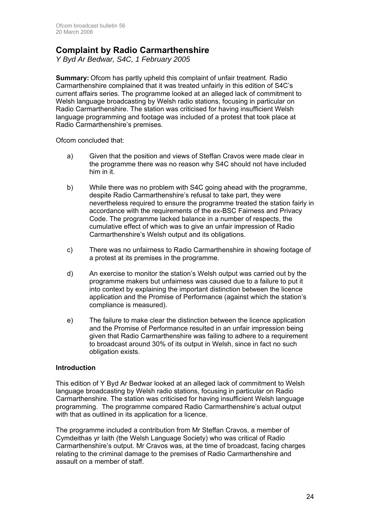# **Complaint by Radio Carmarthenshire**

*Y Byd Ar Bedwar, S4C, 1 February 2005*

**Summary:** Ofcom has partly upheld this complaint of unfair treatment. Radio Carmarthenshire complained that it was treated unfairly in this edition of S4C's current affairs series. The programme looked at an alleged lack of commitment to Welsh language broadcasting by Welsh radio stations, focusing in particular on Radio Carmarthenshire. The station was criticised for having insufficient Welsh language programming and footage was included of a protest that took place at Radio Carmarthenshire's premises.

Ofcom concluded that:

- a) Given that the position and views of Steffan Cravos were made clear in the programme there was no reason why S4C should not have included him in it.
- b) While there was no problem with S4C going ahead with the programme, despite Radio Carmarthenshire's refusal to take part, they were nevertheless required to ensure the programme treated the station fairly in accordance with the requirements of the ex-BSC Fairness and Privacy Code. The programme lacked balance in a number of respects, the cumulative effect of which was to give an unfair impression of Radio Carmarthenshire's Welsh output and its obligations.
- c) There was no unfairness to Radio Carmarthenshire in showing footage of a protest at its premises in the programme.
- d) An exercise to monitor the station's Welsh output was carried out by the programme makers but unfairness was caused due to a failure to put it into context by explaining the important distinction between the licence application and the Promise of Performance (against which the station's compliance is measured).
- e) The failure to make clear the distinction between the licence application and the Promise of Performance resulted in an unfair impression being given that Radio Carmarthenshire was failing to adhere to a requirement to broadcast around 30% of its output in Welsh, since in fact no such obligation exists.

# **Introduction**

This edition of Y Byd Ar Bedwar looked at an alleged lack of commitment to Welsh language broadcasting by Welsh radio stations, focusing in particular on Radio Carmarthenshire. The station was criticised for having insufficient Welsh language programming. The programme compared Radio Carmarthenshire's actual output with that as outlined in its application for a licence.

The programme included a contribution from Mr Steffan Cravos, a member of Cymdeithas yr Iaith (the Welsh Language Society) who was critical of Radio Carmarthenshire's output. Mr Cravos was, at the time of broadcast, facing charges relating to the criminal damage to the premises of Radio Carmarthenshire and assault on a member of staff.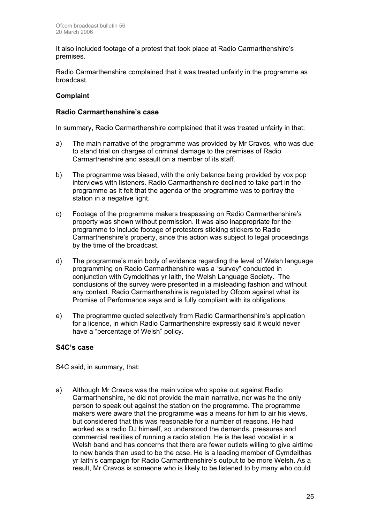It also included footage of a protest that took place at Radio Carmarthenshire's premises.

Radio Carmarthenshire complained that it was treated unfairly in the programme as broadcast.

# **Complaint**

#### **Radio Carmarthenshire's case**

In summary, Radio Carmarthenshire complained that it was treated unfairly in that:

- a) The main narrative of the programme was provided by Mr Cravos, who was due to stand trial on charges of criminal damage to the premises of Radio Carmarthenshire and assault on a member of its staff.
- b) The programme was biased, with the only balance being provided by vox pop interviews with listeners. Radio Carmarthenshire declined to take part in the programme as it felt that the agenda of the programme was to portray the station in a negative light.
- c) Footage of the programme makers trespassing on Radio Carmarthenshire's property was shown without permission. It was also inappropriate for the programme to include footage of protesters sticking stickers to Radio Carmarthenshire's property, since this action was subject to legal proceedings by the time of the broadcast.
- d) The programme's main body of evidence regarding the level of Welsh language programming on Radio Carmarthenshire was a "survey" conducted in conjunction with Cymdeithas yr Iaith, the Welsh Language Society. The conclusions of the survey were presented in a misleading fashion and without any context. Radio Carmarthenshire is regulated by Ofcom against what its Promise of Performance says and is fully compliant with its obligations.
- e) The programme quoted selectively from Radio Carmarthenshire's application for a licence, in which Radio Carmarthenshire expressly said it would never have a "percentage of Welsh" policy.

# **S4C's case**

S4C said, in summary, that:

a) Although Mr Cravos was the main voice who spoke out against Radio Carmarthenshire, he did not provide the main narrative, nor was he the only person to speak out against the station on the programme. The programme makers were aware that the programme was a means for him to air his views, but considered that this was reasonable for a number of reasons. He had worked as a radio DJ himself, so understood the demands, pressures and commercial realities of running a radio station. He is the lead vocalist in a Welsh band and has concerns that there are fewer outlets willing to give airtime to new bands than used to be the case. He is a leading member of Cymdeithas yr Iaith's campaign for Radio Carmarthenshire's output to be more Welsh. As a result, Mr Cravos is someone who is likely to be listened to by many who could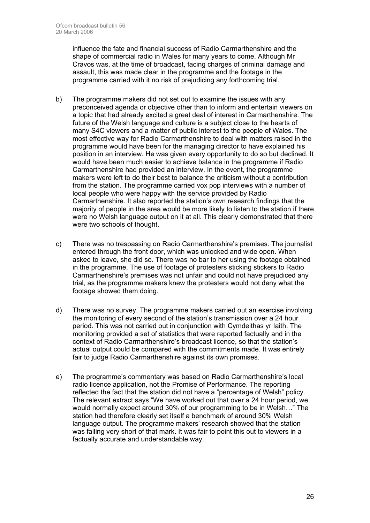influence the fate and financial success of Radio Carmarthenshire and the shape of commercial radio in Wales for many years to come. Although Mr Cravos was, at the time of broadcast, facing charges of criminal damage and assault, this was made clear in the programme and the footage in the programme carried with it no risk of prejudicing any forthcoming trial.

- b) The programme makers did not set out to examine the issues with any preconceived agenda or objective other than to inform and entertain viewers on a topic that had already excited a great deal of interest in Carmarthenshire. The future of the Welsh language and culture is a subject close to the hearts of many S4C viewers and a matter of public interest to the people of Wales. The most effective way for Radio Carmarthenshire to deal with matters raised in the programme would have been for the managing director to have explained his position in an interview. He was given every opportunity to do so but declined. It would have been much easier to achieve balance in the programme if Radio Carmarthenshire had provided an interview. In the event, the programme makers were left to do their best to balance the criticism without a contribution from the station. The programme carried vox pop interviews with a number of local people who were happy with the service provided by Radio Carmarthenshire. It also reported the station's own research findings that the majority of people in the area would be more likely to listen to the station if there were no Welsh language output on it at all. This clearly demonstrated that there were two schools of thought.
- c) There was no trespassing on Radio Carmarthenshire's premises. The journalist entered through the front door, which was unlocked and wide open. When asked to leave, she did so. There was no bar to her using the footage obtained in the programme. The use of footage of protesters sticking stickers to Radio Carmarthenshire's premises was not unfair and could not have prejudiced any trial, as the programme makers knew the protesters would not deny what the footage showed them doing.
- d) There was no survey. The programme makers carried out an exercise involving the monitoring of every second of the station's transmission over a 24 hour period. This was not carried out in conjunction with Cymdeithas yr Iaith. The monitoring provided a set of statistics that were reported factually and in the context of Radio Carmarthenshire's broadcast licence, so that the station's actual output could be compared with the commitments made. It was entirely fair to judge Radio Carmarthenshire against its own promises.
- e) The programme's commentary was based on Radio Carmarthenshire's local radio licence application, not the Promise of Performance. The reporting reflected the fact that the station did not have a "percentage of Welsh" policy. The relevant extract says "We have worked out that over a 24 hour period, we would normally expect around 30% of our programming to be in Welsh…" The station had therefore clearly set itself a benchmark of around 30% Welsh language output. The programme makers' research showed that the station was falling very short of that mark. It was fair to point this out to viewers in a factually accurate and understandable way.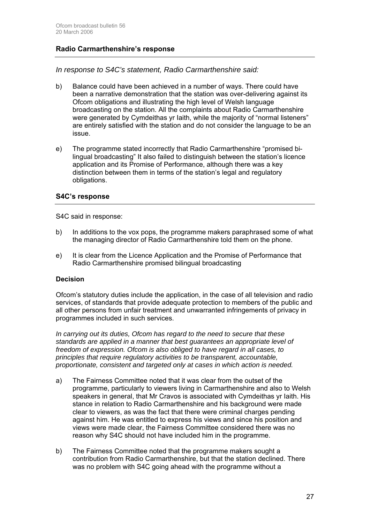# **Radio Carmarthenshire's response**

*In response to S4C's statement, Radio Carmarthenshire said:* 

- b) Balance could have been achieved in a number of ways. There could have been a narrative demonstration that the station was over-delivering against its Ofcom obligations and illustrating the high level of Welsh language broadcasting on the station. All the complaints about Radio Carmarthenshire were generated by Cymdeithas yr Iaith, while the majority of "normal listeners" are entirely satisfied with the station and do not consider the language to be an issue.
- e) The programme stated incorrectly that Radio Carmarthenshire "promised bilingual broadcasting" It also failed to distinguish between the station's licence application and its Promise of Performance, although there was a key distinction between them in terms of the station's legal and regulatory obligations.

# **S4C's response**

S4C said in response:

- b) In additions to the vox pops, the programme makers paraphrased some of what the managing director of Radio Carmarthenshire told them on the phone.
- e) It is clear from the Licence Application and the Promise of Performance that Radio Carmarthenshire promised bilingual broadcasting

# **Decision**

Ofcom's statutory duties include the application, in the case of all television and radio services, of standards that provide adequate protection to members of the public and all other persons from unfair treatment and unwarranted infringements of privacy in programmes included in such services.

*In carrying out its duties, Ofcom has regard to the need to secure that these standards are applied in a manner that best guarantees an appropriate level of freedom of expression. Ofcom is also obliged to have regard in all cases, to principles that require regulatory activities to be transparent, accountable, proportionate, consistent and targeted only at cases in which action is needed.* 

- a) The Fairness Committee noted that it was clear from the outset of the programme, particularly to viewers living in Carmarthenshire and also to Welsh speakers in general, that Mr Cravos is associated with Cymdeithas yr Iaith. His stance in relation to Radio Carmarthenshire and his background were made clear to viewers, as was the fact that there were criminal charges pending against him. He was entitled to express his views and since his position and views were made clear, the Fairness Committee considered there was no reason why S4C should not have included him in the programme.
- b) The Fairness Committee noted that the programme makers sought a contribution from Radio Carmarthenshire, but that the station declined. There was no problem with S4C going ahead with the programme without a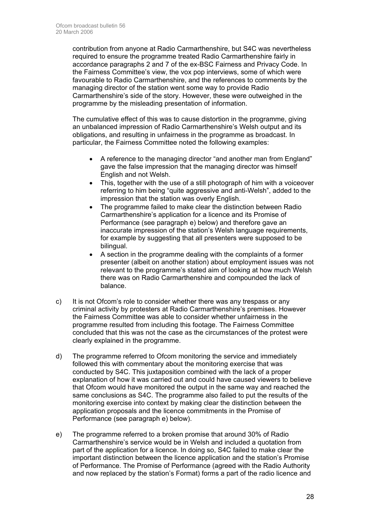contribution from anyone at Radio Carmarthenshire, but S4C was nevertheless required to ensure the programme treated Radio Carmarthenshire fairly in accordance paragraphs 2 and 7 of the ex-BSC Fairness and Privacy Code. In the Fairness Committee's view, the vox pop interviews, some of which were favourable to Radio Carmarthenshire, and the references to comments by the managing director of the station went some way to provide Radio Carmarthenshire's side of the story. However, these were outweighed in the programme by the misleading presentation of information.

The cumulative effect of this was to cause distortion in the programme, giving an unbalanced impression of Radio Carmarthenshire's Welsh output and its obligations, and resulting in unfairness in the programme as broadcast. In particular, the Fairness Committee noted the following examples:

- A reference to the managing director "and another man from England" gave the false impression that the managing director was himself English and not Welsh.
- This, together with the use of a still photograph of him with a voiceover referring to him being "quite aggressive and anti-Welsh", added to the impression that the station was overly English.
- The programme failed to make clear the distinction between Radio Carmarthenshire's application for a licence and its Promise of Performance (see paragraph e) below) and therefore gave an inaccurate impression of the station's Welsh language requirements, for example by suggesting that all presenters were supposed to be bilingual.
- A section in the programme dealing with the complaints of a former presenter (albeit on another station) about employment issues was not relevant to the programme's stated aim of looking at how much Welsh there was on Radio Carmarthenshire and compounded the lack of balance.
- c) It is not Ofcom's role to consider whether there was any trespass or any criminal activity by protesters at Radio Carmarthenshire's premises. However the Fairness Committee was able to consider whether unfairness in the programme resulted from including this footage. The Fairness Committee concluded that this was not the case as the circumstances of the protest were clearly explained in the programme.
- d) The programme referred to Ofcom monitoring the service and immediately followed this with commentary about the monitoring exercise that was conducted by S4C. This juxtaposition combined with the lack of a proper explanation of how it was carried out and could have caused viewers to believe that Ofcom would have monitored the output in the same way and reached the same conclusions as S4C. The programme also failed to put the results of the monitoring exercise into context by making clear the distinction between the application proposals and the licence commitments in the Promise of Performance (see paragraph e) below).
- e) The programme referred to a broken promise that around 30% of Radio Carmarthenshire's service would be in Welsh and included a quotation from part of the application for a licence. In doing so, S4C failed to make clear the important distinction between the licence application and the station's Promise of Performance. The Promise of Performance (agreed with the Radio Authority and now replaced by the station's Format) forms a part of the radio licence and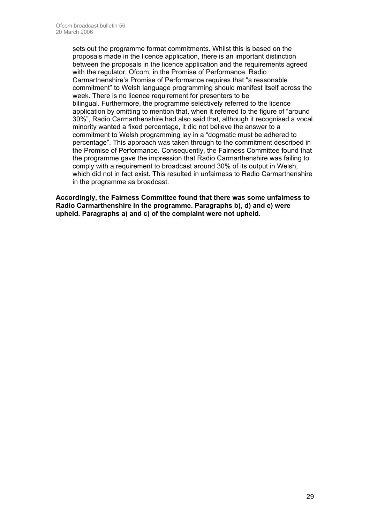sets out the programme format commitments. Whilst this is based on the proposals made in the licence application, there is an important distinction between the proposals in the licence application and the requirements agreed with the regulator, Ofcom, in the Promise of Performance. Radio Carmarthenshire's Promise of Performance requires that "a reasonable commitment" to Welsh language programming should manifest itself across the week. There is no licence requirement for presenters to be bilingual. Furthermore, the programme selectively referred to the licence application by omitting to mention that, when it referred to the figure of "around 30%", Radio Carmarthenshire had also said that, although it recognised a vocal minority wanted a fixed percentage, it did not believe the answer to a commitment to Welsh programming lay in a "dogmatic must be adhered to percentage". This approach was taken through to the commitment described in the Promise of Performance. Consequently, the Fairness Committee found that the programme gave the impression that Radio Carmarthenshire was failing to comply with a requirement to broadcast around 30% of its output in Welsh, which did not in fact exist. This resulted in unfairness to Radio Carmarthenshire in the programme as broadcast.

**Accordingly, the Fairness Committee found that there was some unfairness to Radio Carmarthenshire in the programme. Paragraphs b), d) and e) were upheld. Paragraphs a) and c) of the complaint were not upheld.**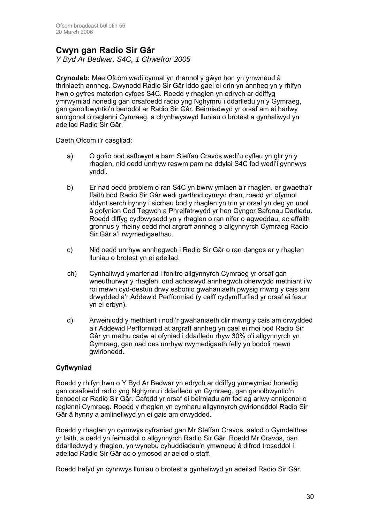# **Cwyn gan Radio Sir Gâr**

*Y Byd Ar Bedwar, S4C, 1 Chwefror 2005* 

**Crynodeb:** Mae Ofcom wedi cynnal yn rhannol y gŵyn hon yn ymwneud â thriniaeth annheg. Cwynodd Radio Sir Gâr iddo gael ei drin yn annheg yn y rhifyn hwn o gyfres materion cyfoes S4C. Roedd y rhaglen yn edrych ar ddiffyg ymrwymiad honedig gan orsafoedd radio yng Nghymru i ddarlledu yn y Gymraeg, gan ganolbwyntio'n benodol ar Radio Sir Gâr. Beirniadwyd yr orsaf am ei harlwy annigonol o raglenni Cymraeg, a chynhwyswyd lluniau o brotest a gynhaliwyd yn adeilad Radio Sir Gâr.

Daeth Ofcom i'r casgliad:

- a) O gofio bod safbwynt a barn Steffan Cravos wedi'u cyfleu yn glir yn y rhaglen, nid oedd unrhyw reswm pam na ddylai S4C fod wedi'i gynnwys ynddi.
- b) Er nad oedd problem o ran S4C yn bwrw ymlaen â'r rhaglen, er gwaetha'r ffaith bod Radio Sir Gâr wedi gwrthod cymryd rhan, roedd yn ofynnol iddynt serch hynny i sicrhau bod y rhaglen yn trin yr orsaf yn deg yn unol â gofynion Cod Tegwch a Phreifatrwydd yr hen Gyngor Safonau Darlledu. Roedd diffyg cydbwysedd yn y rhaglen o ran nifer o agweddau, ac effaith gronnus y rheiny oedd rhoi argraff annheg o allgynnyrch Cymraeg Radio Sir Gâr a'i rwymedigaethau.
- c) Nid oedd unrhyw annhegwch i Radio Sir Gâr o ran dangos ar y rhaglen lluniau o brotest yn ei adeilad.
- ch) Cynhaliwyd ymarferiad i fonitro allgynnyrch Cymraeg yr orsaf gan wneuthurwyr y rhaglen, ond achoswyd annhegwch oherwydd methiant i'w roi mewn cyd-destun drwy esbonio gwahaniaeth pwysig rhwng y cais am drwydded a'r Addewid Perfformiad (y caiff cydymffurfiad yr orsaf ei fesur yn ei erbyn).
- d) Arweiniodd y methiant i nodi'r gwahaniaeth clir rhwng y cais am drwydded a'r Addewid Perfformiad at argraff annheg yn cael ei rhoi bod Radio Sir Gâr yn methu cadw at ofyniad i ddarlledu rhyw 30% o'i allgynnyrch yn Gymraeg, gan nad oes unrhyw rwymedigaeth felly yn bodoli mewn gwirionedd.

# **Cyflwyniad**

Roedd y rhifyn hwn o Y Byd Ar Bedwar yn edrych ar ddiffyg ymrwymiad honedig gan orsafoedd radio yng Nghymru i ddarlledu yn Gymraeg, gan ganolbwyntio'n benodol ar Radio Sir Gâr. Cafodd yr orsaf ei beirniadu am fod ag arlwy annigonol o raglenni Cymraeg. Roedd y rhaglen yn cymharu allgynnyrch gwirioneddol Radio Sir Gâr â hynny a amlinellwyd yn ei gais am drwydded.

Roedd y rhaglen yn cynnwys cyfraniad gan Mr Steffan Cravos, aelod o Gymdeithas yr Iaith, a oedd yn feirniadol o allgynnyrch Radio Sir Gâr. Roedd Mr Cravos, pan ddarlledwyd y rhaglen, yn wynebu cyhuddiadau'n ymwneud â difrod troseddol i adeilad Radio Sir Gâr ac o ymosod ar aelod o staff.

Roedd hefyd yn cynnwys lluniau o brotest a gynhaliwyd yn adeilad Radio Sir Gâr.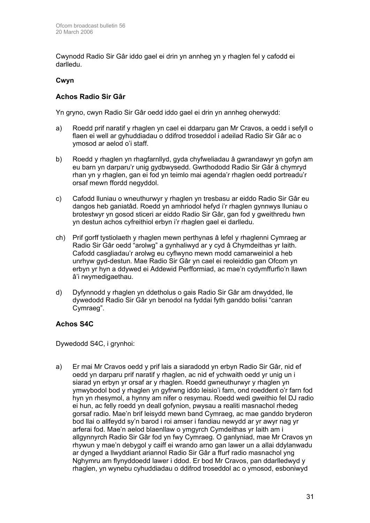Cwynodd Radio Sir Gâr iddo gael ei drin yn annheg yn y rhaglen fel y cafodd ei darlledu.

# **Cwyn**

# **Achos Radio Sir Gâr**

Yn gryno, cwyn Radio Sir Gâr oedd iddo gael ei drin yn annheg oherwydd:

- a) Roedd prif naratif y rhaglen yn cael ei ddarparu gan Mr Cravos, a oedd i sefyll o flaen ei well ar gyhuddiadau o ddifrod troseddol i adeilad Radio Sir Gâr ac o ymosod ar aelod o'i staff.
- b) Roedd y rhaglen yn rhagfarnllyd, gyda chyfweliadau â gwrandawyr yn gofyn am eu barn yn darparu'r unig gydbwysedd. Gwrthododd Radio Sir Gâr â chymryd rhan yn y rhaglen, gan ei fod yn teimlo mai agenda'r rhaglen oedd portreadu'r orsaf mewn ffordd negyddol.
- c) Cafodd lluniau o wneuthurwyr y rhaglen yn tresbasu ar eiddo Radio Sir Gâr eu dangos heb ganiatâd. Roedd yn amhriodol hefyd i'r rhaglen gynnwys lluniau o brotestwyr yn gosod sticeri ar eiddo Radio Sir Gâr, gan fod y gweithredu hwn yn destun achos cyfreithiol erbyn i'r rhaglen gael ei darlledu.
- ch) Prif gorff tystiolaeth y rhaglen mewn perthynas â lefel y rhaglenni Cymraeg ar Radio Sir Gâr oedd "arolwg" a gynhaliwyd ar y cyd â Chymdeithas yr Iaith. Cafodd casgliadau'r arolwg eu cyflwyno mewn modd camarweiniol a heb unrhyw gyd-destun. Mae Radio Sir Gâr yn cael ei reoleiddio gan Ofcom yn erbyn yr hyn a ddywed ei Addewid Perfformiad, ac mae'n cydymffurfio'n llawn â'i rwymedigaethau.
- d) Dyfynnodd y rhaglen yn ddetholus o gais Radio Sir Gâr am drwydded, lle dywedodd Radio Sir Gâr yn benodol na fyddai fyth ganddo bolisi "canran Cymraeg".

# **Achos S4C**

Dywedodd S4C, i grynhoi:

a) Er mai Mr Cravos oedd y prif lais a siaradodd yn erbyn Radio Sir Gâr, nid ef oedd yn darparu prif naratif y rhaglen, ac nid ef ychwaith oedd yr unig un i siarad yn erbyn yr orsaf ar y rhaglen. Roedd gwneuthurwyr y rhaglen yn ymwybodol bod y rhaglen yn gyfrwng iddo leisio'i farn, ond roeddent o'r farn fod hyn yn rhesymol, a hynny am nifer o resymau. Roedd wedi gweithio fel DJ radio ei hun, ac felly roedd yn deall gofynion, pwysau a realiti masnachol rhedeg gorsaf radio. Mae'n brif leisydd mewn band Cymraeg, ac mae ganddo bryderon bod llai o allfeydd sy'n barod i roi amser i fandiau newydd ar yr awyr nag yr arferai fod. Mae'n aelod blaenllaw o ymgyrch Cymdeithas yr Iaith am i allgynnyrch Radio Sir Gâr fod yn fwy Cymraeg. O ganlyniad, mae Mr Cravos yn rhywun y mae'n debygol y caiff ei wrando arno gan lawer un a allai ddylanwadu ar dynged a llwyddiant ariannol Radio Sir Gâr a ffurf radio masnachol yng Nghymru am flynyddoedd lawer i ddod. Er bod Mr Cravos, pan ddarlledwyd y rhaglen, yn wynebu cyhuddiadau o ddifrod troseddol ac o ymosod, esboniwyd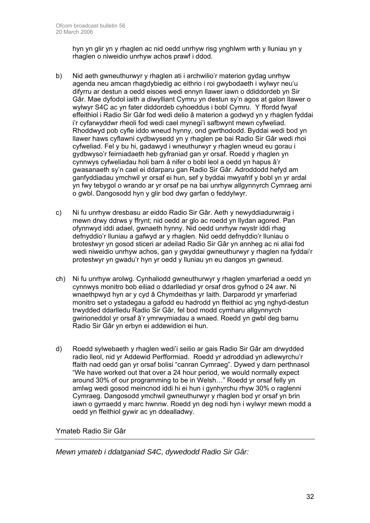hyn yn glir yn y rhaglen ac nid oedd unrhyw risg ynghlwm wrth y lluniau yn y rhaglen o niweidio unrhyw achos prawf i ddod.

- b) Nid aeth gwneuthurwyr y rhaglen ati i archwilio'r materion gydag unrhyw agenda neu amcan rhagdybiedig ac eithrio i roi gwybodaeth i wylwyr neu'u difyrru ar destun a oedd eisoes wedi ennyn llawer iawn o ddiddordeb yn Sir Gâr. Mae dyfodol iaith a diwylliant Cymru yn destun sy'n agos at galon llawer o wylwyr S4C ac yn fater diddordeb cyhoeddus i bobl Cymru. Y ffordd fwyaf effeithiol i Radio Sir Gâr fod wedi delio â materion a godwyd yn y rhaglen fyddai i'r cyfarwyddwr rheoli fod wedi cael mynegi'i safbwynt mewn cyfweliad. Rhoddwyd pob cyfle iddo wneud hynny, ond gwrthododd. Byddai wedi bod yn llawer haws cyflawni cydbwysedd yn y rhaglen pe bai Radio Sir Gâr wedi rhoi cyfweliad. Fel y bu hi, gadawyd i wneuthurwyr y rhaglen wneud eu gorau i gydbwyso'r feirniadaeth heb gyfraniad gan yr orsaf. Roedd y rhaglen yn cynnwys cyfweliadau holi barn â nifer o bobl leol a oedd yn hapus â'r gwasanaeth sy'n cael ei ddarparu gan Radio Sir Gâr. Adroddodd hefyd am ganfyddiadau ymchwil yr orsaf ei hun, sef y byddai mwyafrif y bobl yn yr ardal yn fwy tebygol o wrando ar yr orsaf pe na bai unrhyw allgynnyrch Cymraeg arni o gwbl. Dangosodd hyn y glir bod dwy garfan o feddylwyr.
- c) Ni fu unrhyw dresbasu ar eiddo Radio Sir Gâr. Aeth y newyddiadurwraig i mewn drwy ddrws y ffrynt; nid oedd ar glo ac roedd yn llydan agored. Pan ofynnwyd iddi adael, gwnaeth hynny. Nid oedd unrhyw rwystr iddi rhag defnyddio'r lluniau a gafwyd ar y rhaglen. Nid oedd defnyddio'r lluniau o brotestwyr yn gosod sticeri ar adeilad Radio Sir Gâr yn annheg ac ni allai fod wedi niweidio unrhyw achos, gan y gwyddai gwneuthurwyr y rhaglen na fyddai'r protestwyr yn gwadu'r hyn yr oedd y lluniau yn eu dangos yn gwneud.
- ch) Ni fu unrhyw arolwg. Cynhaliodd gwneuthurwyr y rhaglen ymarferiad a oedd yn cynnwys monitro bob eiliad o ddarllediad yr orsaf dros gyfnod o 24 awr. Ni wnaethpwyd hyn ar y cyd â Chymdeithas yr Iaith. Darparodd yr ymarferiad monitro set o ystadegau a gafodd eu hadrodd yn ffeithiol ac yng nghyd-destun trwydded ddarlledu Radio Sir Gâr, fel bod modd cymharu allgynnyrch gwirioneddol yr orsaf â'r ymrwymiadau a wnaed. Roedd yn gwbl deg barnu Radio Sir Gâr yn erbyn ei addewidion ei hun.
- d) Roedd sylwebaeth y rhaglen wedi'i seilio ar gais Radio Sir Gâr am drwydded radio lleol, nid yr Addewid Perfformiad. Roedd yr adroddiad yn adlewyrchu'r ffaith nad oedd gan yr orsaf bolisi "canran Cymraeg". Dywed y darn perthnasol "We have worked out that over a 24 hour period, we would normally expect around 30% of our programming to be in Welsh…" Roedd yr orsaf felly yn amlwg wedi gosod meincnod iddi hi ei hun i gynhyrchu rhyw 30% o raglenni Cymraeg. Dangosodd ymchwil gwneuthurwyr y rhaglen bod yr orsaf yn brin iawn o gyrraedd y marc hwnnw. Roedd yn deg nodi hyn i wylwyr mewn modd a oedd yn ffeithiol gywir ac yn ddealladwy.

Ymateb Radio Sir Gâr

*Mewn ymateb i ddatganiad S4C, dywedodd Radio Sir Gâr:*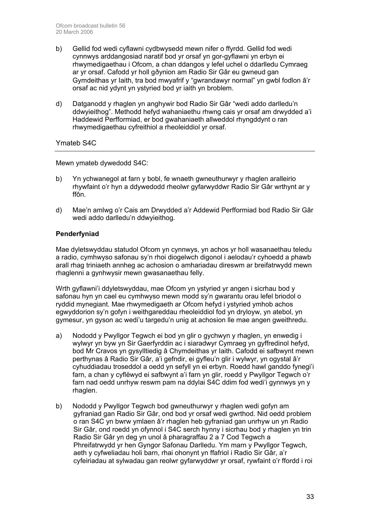- b) Gellid fod wedi cyflawni cydbwysedd mewn nifer o ffyrdd. Gellid fod wedi cynnwys arddangosiad naratif bod yr orsaf yn gor-gyflawni yn erbyn ei rhwymedigaethau i Ofcom, a chan ddangos y lefel uchel o ddarlledu Cymraeg ar yr orsaf. Cafodd yr holl gðynion am Radio Sir Gâr eu gwneud gan Gymdeithas yr Iaith, tra bod mwyafrif y "gwrandawyr normal" yn gwbl fodlon â'r orsaf ac nid ydynt yn ystyried bod yr iaith yn broblem.
- d) Datganodd y rhaglen yn anghywir bod Radio Sir Gâr "wedi addo darlledu'n ddwyieithog". Methodd hefyd wahaniaethu rhwng cais yr orsaf am drwydded a'i Haddewid Perfformiad, er bod gwahaniaeth allweddol rhyngddynt o ran rhwymedigaethau cyfreithiol a rheoleiddiol yr orsaf.

# Ymateb S4C

Mewn ymateb dywedodd S4C:

- b) Yn ychwanegol at farn y bobl, fe wnaeth gwneuthurwyr y rhaglen aralleirio rhywfaint o'r hyn a ddywedodd rheolwr gyfarwyddwr Radio Sir Gâr wrthynt ar y ffôn.
- d) Mae'n amlwg o'r Cais am Drwydded a'r Addewid Perfformiad bod Radio Sir Gâr wedi addo darlledu'n ddwyieithog.

# **Penderfyniad**

Mae dyletswyddau statudol Ofcom yn cynnwys, yn achos yr holl wasanaethau teledu a radio, cymhwyso safonau sy'n rhoi diogelwch digonol i aelodau'r cyhoedd a phawb arall rhag triniaeth annheg ac achosion o amhariadau direswm ar breifatrwydd mewn rhaglenni a gynhwysir mewn gwasanaethau felly.

Wrth gyflawni'i ddyletswyddau, mae Ofcom yn ystyried yr angen i sicrhau bod y safonau hyn yn cael eu cymhwyso mewn modd sy'n gwarantu orau lefel briodol o ryddid mynegiant. Mae rhwymedigaeth ar Ofcom hefyd i ystyried ymhob achos egwyddorion sy'n gofyn i weithgareddau rheoleiddiol fod yn dryloyw, yn atebol, yn gymesur, yn gyson ac wedi'u targedu'n unig at achosion lle mae angen gweithredu.

- a) Nododd y Pwyllgor Tegwch ei bod yn glir o gychwyn y rhaglen, yn enwedig i wylwyr yn byw yn Sir Gaerfyrddin ac i siaradwyr Cymraeg yn gyffredinol hefyd, bod Mr Cravos yn gysylltiedig â Chymdeithas yr Iaith. Cafodd ei safbwynt mewn perthynas â Radio Sir Gâr, a'i gefndir, ei gyfleu'n glir i wylwyr, yn ogystal â'r cyhuddiadau troseddol a oedd yn sefyll yn ei erbyn. Roedd hawl ganddo fynegi'i farn, a chan y cyflëwyd ei safbwynt a'i farn yn glir, roedd y Pwyllgor Tegwch o'r farn nad oedd unrhyw reswm pam na ddylai S4C ddim fod wedi'i gynnwys yn y rhaglen.
- b) Nododd y Pwyllgor Tegwch bod gwneuthurwyr y rhaglen wedi gofyn am gyfraniad gan Radio Sir Gâr, ond bod yr orsaf wedi gwrthod. Nid oedd problem o ran S4C yn bwrw ymlaen â'r rhaglen heb gyfraniad gan unrhyw un yn Radio Sir Gâr, ond roedd yn ofynnol i S4C serch hynny i sicrhau bod y rhaglen yn trin Radio Sir Gâr yn deg yn unol â pharagraffau 2 a 7 Cod Tegwch a Phreifatrwydd yr hen Gyngor Safonau Darlledu. Ym marn y Pwyllgor Tegwch, aeth y cyfweliadau holi barn, rhai ohonynt yn ffafriol i Radio Sir Gâr, a'r cyfeiriadau at sylwadau gan reolwr gyfarwyddwr yr orsaf, rywfaint o'r ffordd i roi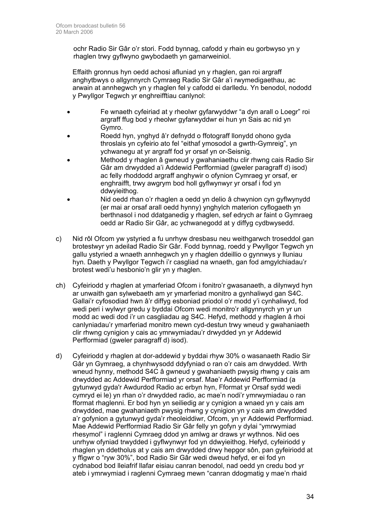ochr Radio Sir Gâr o'r stori. Fodd bynnag, cafodd y rhain eu gorbwyso yn y rhaglen trwy gyflwyno gwybodaeth yn gamarweiniol.

Effaith gronnus hyn oedd achosi afluniad yn y rhaglen, gan roi argraff anghytbwys o allgynnyrch Cymraeg Radio Sir Gâr a'i rwymedigaethau, ac arwain at annhegwch yn y rhaglen fel y cafodd ei darlledu. Yn benodol, nododd y Pwyllgor Tegwch yr enghreifftiau canlynol:

- Fe wnaeth cyfeiriad at y rheolwr gyfarwyddwr "a dyn arall o Loegr" roi argraff ffug bod y rheolwr gyfarwyddwr ei hun yn Sais ac nid yn Gymro.
- Roedd hyn, ynghyd â'r defnydd o ffotograff llonydd ohono gyda throslais yn cyfeirio ato fel "eithaf ymosodol a gwrth-Gymreig", yn ychwanegu at yr argraff fod yr orsaf yn or-Seisnig.
- Methodd y rhaglen â gwneud y gwahaniaethu clir rhwng cais Radio Sir Gâr am drwydded a'i Addewid Perfformiad (gweler paragraff d) isod) ac felly rhoddodd argraff anghywir o ofynion Cymraeg yr orsaf, er enghraifft, trwy awgrym bod holl gyflwynwyr yr orsaf i fod yn ddwyieithog.
- Nid oedd rhan o'r rhaglen a oedd yn delio â chwynion cyn gyflwynydd (er mai ar orsaf arall oedd hynny) ynghylch materion cyflogaeth yn berthnasol i nod ddatganedig y rhaglen, sef edrych ar faint o Gymraeg oedd ar Radio Sir Gâr, ac ychwanegodd at y diffyg cydbwysedd.
- c) Nid rôl Ofcom yw ystyried a fu unrhyw dresbasu neu weithgarwch troseddol gan brotestwyr yn adeilad Radio Sir Gâr. Fodd bynnag, roedd y Pwyllgor Tegwch yn gallu ystyried a wnaeth annhegwch yn y rhaglen ddeillio o gynnwys y lluniau hyn. Daeth y Pwyllgor Tegwch i'r casgliad na wnaeth, gan fod amgylchiadau'r brotest wedi'u hesbonio'n glir yn y rhaglen.
- ch) Cyfeiriodd y rhaglen at ymarferiad Ofcom i fonitro'r gwasanaeth, a dilynwyd hyn ar unwaith gan sylwebaeth am yr ymarferiad monitro a gynhaliwyd gan S4C. Gallai'r cyfosodiad hwn â'r diffyg esboniad priodol o'r modd y'i cynhaliwyd, fod wedi peri i wylwyr gredu y byddai Ofcom wedi monitro'r allgynnyrch yn yr un modd ac wedi dod i'r un casgliadau ag S4C. Hefyd, methodd y rhaglen â rhoi canlyniadau'r ymarferiad monitro mewn cyd-destun trwy wneud y gwahaniaeth clir rhwng cynigion y cais ac ymrwymiadau'r drwydded yn yr Addewid Perfformiad (gweler paragraff d) isod).
- d) Cyfeiriodd y rhaglen at dor-addewid y byddai rhyw 30% o wasanaeth Radio Sir Gâr yn Gymraeg, a chynhwysodd ddyfyniad o ran o'r cais am drwydded. Wrth wneud hynny, methodd S4C â gwneud y gwahaniaeth pwysig rhwng y cais am drwydded ac Addewid Perfformiad yr orsaf. Mae'r Addewid Perfformiad (a gytunwyd gyda'r Awdurdod Radio ac erbyn hyn, Fformat yr Orsaf sydd wedi cymryd ei le) yn rhan o'r drwydded radio, ac mae'n nodi'r ymrwymiadau o ran fformat rhaglenni. Er bod hyn yn seiliedig ar y cynigion a wnaed yn y cais am drwydded, mae gwahaniaeth pwysig rhwng y cynigion yn y cais am drwydded a'r gofynion a gytunwyd gyda'r rheoleiddiwr, Ofcom, yn yr Addewid Perfformiad. Mae Addewid Perfformiad Radio Sir Gâr felly yn gofyn y dylai "ymrwymiad rhesymol" i raglenni Cymraeg ddod yn amlwg ar draws yr wythnos. Nid oes unrhyw ofyniad trwydded i gyflwynwyr fod yn ddwyieithog. Hefyd, cyfeiriodd y rhaglen yn ddetholus at y cais am drwydded drwy hepgor sôn, pan gyfeiriodd at y ffigwr o "ryw 30%", bod Radio Sir Gâr wedi dweud hefyd, er ei fod yn cydnabod bod lleiafrif llafar eisiau canran benodol, nad oedd yn credu bod yr ateb i ymrwymiad i raglenni Cymraeg mewn "canran ddogmatig y mae'n rhaid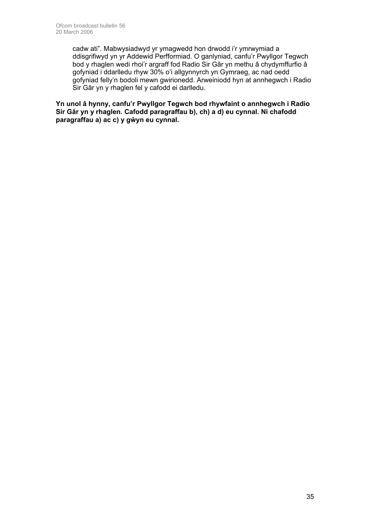cadw ati". Mabwysiadwyd yr ymagwedd hon drwodd i'r ymrwymiad a ddisgrifiwyd yn yr Addewid Perfformiad. O ganlyniad, canfu'r Pwyllgor Tegwch bod y rhaglen wedi rhoi'r argraff fod Radio Sir Gâr yn methu â chydymffurfio â gofyniad i ddarlledu rhyw 30% o'i allgynnyrch yn Gymraeg, ac nad oedd gofyniad felly'n bodoli mewn gwirionedd. Arweiniodd hyn at annhegwch i Radio Sir Gâr yn y rhaglen fel y cafodd ei darlledu.

**Yn unol â hynny, canfu'r Pwyllgor Tegwch bod rhywfaint o annhegwch i Radio Sir Gâr yn y rhaglen. Cafodd paragraffau b), ch) a d) eu cynnal. Ni chafodd paragraffau a) ac c) y gŵyn eu cynnal.**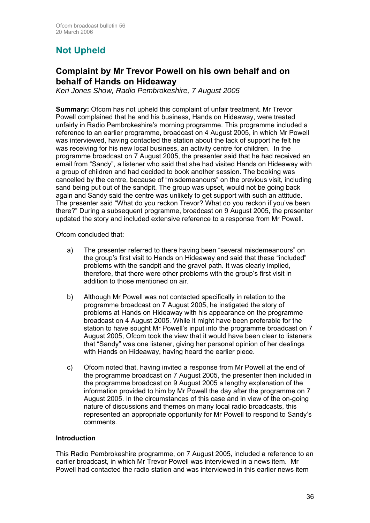# **Not Upheld**

# **Complaint by Mr Trevor Powell on his own behalf and on behalf of Hands on Hideaway**

*Keri Jones Show, Radio Pembrokeshire, 7 August 2005* 

**Summary:** Ofcom has not upheld this complaint of unfair treatment. Mr Trevor Powell complained that he and his business, Hands on Hideaway, were treated unfairly in Radio Pembrokeshire's morning programme. This programme included a reference to an earlier programme, broadcast on 4 August 2005, in which Mr Powell was interviewed, having contacted the station about the lack of support he felt he was receiving for his new local business, an activity centre for children. In the programme broadcast on 7 August 2005, the presenter said that he had received an email from "Sandy", a listener who said that she had visited Hands on Hideaway with a group of children and had decided to book another session. The booking was cancelled by the centre, because of "misdemeanours" on the previous visit, including sand being put out of the sandpit. The group was upset, would not be going back again and Sandy said the centre was unlikely to get support with such an attitude. The presenter said "What do you reckon Trevor? What do you reckon if you've been there?" During a subsequent programme, broadcast on 9 August 2005, the presenter updated the story and included extensive reference to a response from Mr Powell.

Ofcom concluded that:

- a) The presenter referred to there having been "several misdemeanours" on the group's first visit to Hands on Hideaway and said that these "included" problems with the sandpit and the gravel path. It was clearly implied, therefore, that there were other problems with the group's first visit in addition to those mentioned on air.
- b) Although Mr Powell was not contacted specifically in relation to the programme broadcast on 7 August 2005, he instigated the story of problems at Hands on Hideaway with his appearance on the programme broadcast on 4 August 2005. While it might have been preferable for the station to have sought Mr Powell's input into the programme broadcast on 7 August 2005, Ofcom took the view that it would have been clear to listeners that "Sandy" was one listener, giving her personal opinion of her dealings with Hands on Hideaway, having heard the earlier piece.
- c) Ofcom noted that, having invited a response from Mr Powell at the end of the programme broadcast on 7 August 2005, the presenter then included in the programme broadcast on 9 August 2005 a lengthy explanation of the information provided to him by Mr Powell the day after the programme on 7 August 2005. In the circumstances of this case and in view of the on-going nature of discussions and themes on many local radio broadcasts, this represented an appropriate opportunity for Mr Powell to respond to Sandy's comments.

# **Introduction**

This Radio Pembrokeshire programme, on 7 August 2005, included a reference to an earlier broadcast, in which Mr Trevor Powell was interviewed in a news item. Mr Powell had contacted the radio station and was interviewed in this earlier news item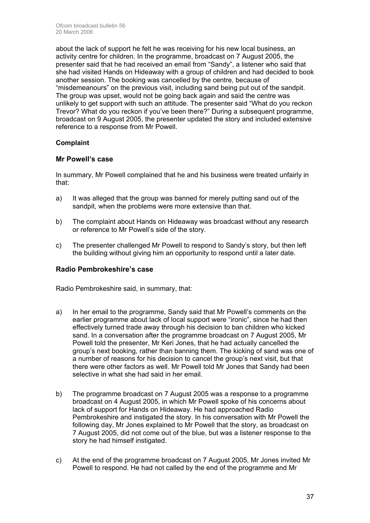about the lack of support he felt he was receiving for his new local business, an activity centre for children. In the programme, broadcast on 7 August 2005, the presenter said that he had received an email from "Sandy", a listener who said that she had visited Hands on Hideaway with a group of children and had decided to book another session. The booking was cancelled by the centre, because of "misdemeanours" on the previous visit, including sand being put out of the sandpit. The group was upset, would not be going back again and said the centre was unlikely to get support with such an attitude. The presenter said "What do you reckon Trevor? What do you reckon if you've been there?" During a subsequent programme, broadcast on 9 August 2005, the presenter updated the story and included extensive reference to a response from Mr Powell.

# **Complaint**

# **Mr Powell's case**

In summary, Mr Powell complained that he and his business were treated unfairly in that:

- a) It was alleged that the group was banned for merely putting sand out of the sandpit, when the problems were more extensive than that.
- b) The complaint about Hands on Hideaway was broadcast without any research or reference to Mr Powell's side of the story.
- c) The presenter challenged Mr Powell to respond to Sandy's story, but then left the building without giving him an opportunity to respond until a later date.

# **Radio Pembrokeshire's case**

Radio Pembrokeshire said, in summary, that:

- a) In her email to the programme, Sandy said that Mr Powell's comments on the earlier programme about lack of local support were "ironic", since he had then effectively turned trade away through his decision to ban children who kicked sand. In a conversation after the programme broadcast on 7 August 2005, Mr Powell told the presenter, Mr Keri Jones, that he had actually cancelled the group's next booking, rather than banning them. The kicking of sand was one of a number of reasons for his decision to cancel the group's next visit, but that there were other factors as well. Mr Powell told Mr Jones that Sandy had been selective in what she had said in her email.
- b) The programme broadcast on 7 August 2005 was a response to a programme broadcast on 4 August 2005, in which Mr Powell spoke of his concerns about lack of support for Hands on Hideaway. He had approached Radio Pembrokeshire and instigated the story. In his conversation with Mr Powell the following day, Mr Jones explained to Mr Powell that the story, as broadcast on 7 August 2005, did not come out of the blue, but was a listener response to the story he had himself instigated.
- c) At the end of the programme broadcast on 7 August 2005, Mr Jones invited Mr Powell to respond. He had not called by the end of the programme and Mr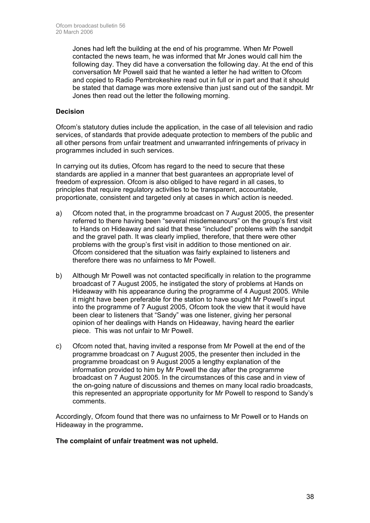Jones had left the building at the end of his programme. When Mr Powell contacted the news team, he was informed that Mr Jones would call him the following day. They did have a conversation the following day. At the end of this conversation Mr Powell said that he wanted a letter he had written to Ofcom and copied to Radio Pembrokeshire read out in full or in part and that it should be stated that damage was more extensive than just sand out of the sandpit. Mr Jones then read out the letter the following morning.

### **Decision**

Ofcom's statutory duties include the application, in the case of all television and radio services, of standards that provide adequate protection to members of the public and all other persons from unfair treatment and unwarranted infringements of privacy in programmes included in such services.

In carrying out its duties, Ofcom has regard to the need to secure that these standards are applied in a manner that best guarantees an appropriate level of freedom of expression. Ofcom is also obliged to have regard in all cases, to principles that require regulatory activities to be transparent, accountable, proportionate, consistent and targeted only at cases in which action is needed.

- a) Ofcom noted that, in the programme broadcast on 7 August 2005, the presenter referred to there having been "several misdemeanours" on the group's first visit to Hands on Hideaway and said that these "included" problems with the sandpit and the gravel path. It was clearly implied, therefore, that there were other problems with the group's first visit in addition to those mentioned on air. Ofcom considered that the situation was fairly explained to listeners and therefore there was no unfairness to Mr Powell.
- b) Although Mr Powell was not contacted specifically in relation to the programme broadcast of 7 August 2005, he instigated the story of problems at Hands on Hideaway with his appearance during the programme of 4 August 2005. While it might have been preferable for the station to have sought Mr Powell's input into the programme of 7 August 2005, Ofcom took the view that it would have been clear to listeners that "Sandy" was one listener, giving her personal opinion of her dealings with Hands on Hideaway, having heard the earlier piece. This was not unfair to Mr Powell.
- c) Ofcom noted that, having invited a response from Mr Powell at the end of the programme broadcast on 7 August 2005, the presenter then included in the programme broadcast on 9 August 2005 a lengthy explanation of the information provided to him by Mr Powell the day after the programme broadcast on 7 August 2005. In the circumstances of this case and in view of the on-going nature of discussions and themes on many local radio broadcasts, this represented an appropriate opportunity for Mr Powell to respond to Sandy's comments.

Accordingly, Ofcom found that there was no unfairness to Mr Powell or to Hands on Hideaway in the programme**.** 

#### **The complaint of unfair treatment was not upheld.**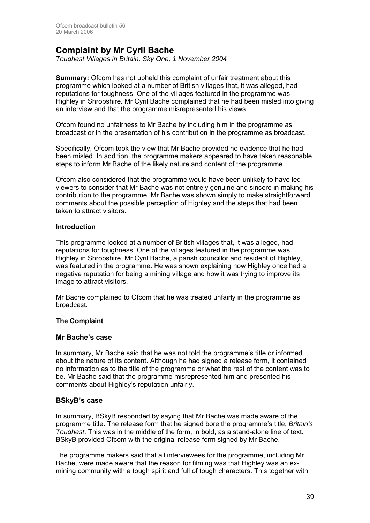# **Complaint by Mr Cyril Bache**

*Toughest Villages in Britain, Sky One, 1 November 2004* 

**Summary:** Ofcom has not upheld this complaint of unfair treatment about this programme which looked at a number of British villages that, it was alleged, had reputations for toughness. One of the villages featured in the programme was Highley in Shropshire. Mr Cyril Bache complained that he had been misled into giving an interview and that the programme misrepresented his views.

Ofcom found no unfairness to Mr Bache by including him in the programme as broadcast or in the presentation of his contribution in the programme as broadcast.

Specifically, Ofcom took the view that Mr Bache provided no evidence that he had been misled. In addition, the programme makers appeared to have taken reasonable steps to inform Mr Bache of the likely nature and content of the programme.

Ofcom also considered that the programme would have been unlikely to have led viewers to consider that Mr Bache was not entirely genuine and sincere in making his contribution to the programme. Mr Bache was shown simply to make straightforward comments about the possible perception of Highley and the steps that had been taken to attract visitors.

#### **Introduction**

This programme looked at a number of British villages that, it was alleged, had reputations for toughness. One of the villages featured in the programme was Highley in Shropshire. Mr Cyril Bache, a parish councillor and resident of Highley, was featured in the programme. He was shown explaining how Highley once had a negative reputation for being a mining village and how it was trying to improve its image to attract visitors.

Mr Bache complained to Ofcom that he was treated unfairly in the programme as broadcast.

# **The Complaint**

# **Mr Bache's case**

In summary, Mr Bache said that he was not told the programme's title or informed about the nature of its content. Although he had signed a release form, it contained no information as to the title of the programme or what the rest of the content was to be. Mr Bache said that the programme misrepresented him and presented his comments about Highley's reputation unfairly.

# **BSkyB's case**

In summary, BSkyB responded by saying that Mr Bache was made aware of the programme title. The release form that he signed bore the programme's title, *Britain's Toughest*. This was in the middle of the form, in bold, as a stand-alone line of text. BSkyB provided Ofcom with the original release form signed by Mr Bache.

The programme makers said that all interviewees for the programme, including Mr Bache, were made aware that the reason for filming was that Highley was an exmining community with a tough spirit and full of tough characters. This together with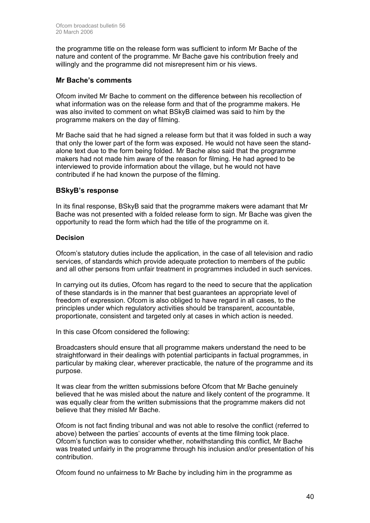the programme title on the release form was sufficient to inform Mr Bache of the nature and content of the programme. Mr Bache gave his contribution freely and willingly and the programme did not misrepresent him or his views.

# **Mr Bache's comments**

Ofcom invited Mr Bache to comment on the difference between his recollection of what information was on the release form and that of the programme makers. He was also invited to comment on what BSkyB claimed was said to him by the programme makers on the day of filming.

Mr Bache said that he had signed a release form but that it was folded in such a way that only the lower part of the form was exposed. He would not have seen the standalone text due to the form being folded. Mr Bache also said that the programme makers had not made him aware of the reason for filming. He had agreed to be interviewed to provide information about the village, but he would not have contributed if he had known the purpose of the filming.

# **BSkyB's response**

In its final response, BSkyB said that the programme makers were adamant that Mr Bache was not presented with a folded release form to sign. Mr Bache was given the opportunity to read the form which had the title of the programme on it.

# **Decision**

Ofcom's statutory duties include the application, in the case of all television and radio services, of standards which provide adequate protection to members of the public and all other persons from unfair treatment in programmes included in such services.

In carrying out its duties, Ofcom has regard to the need to secure that the application of these standards is in the manner that best guarantees an appropriate level of freedom of expression. Ofcom is also obliged to have regard in all cases, to the principles under which regulatory activities should be transparent, accountable, proportionate, consistent and targeted only at cases in which action is needed.

In this case Ofcom considered the following:

Broadcasters should ensure that all programme makers understand the need to be straightforward in their dealings with potential participants in factual programmes, in particular by making clear, wherever practicable, the nature of the programme and its purpose.

It was clear from the written submissions before Ofcom that Mr Bache genuinely believed that he was misled about the nature and likely content of the programme. It was equally clear from the written submissions that the programme makers did not believe that they misled Mr Bache.

Ofcom is not fact finding tribunal and was not able to resolve the conflict (referred to above) between the parties' accounts of events at the time filming took place. Ofcom's function was to consider whether, notwithstanding this conflict, Mr Bache was treated unfairly in the programme through his inclusion and/or presentation of his contribution.

Ofcom found no unfairness to Mr Bache by including him in the programme as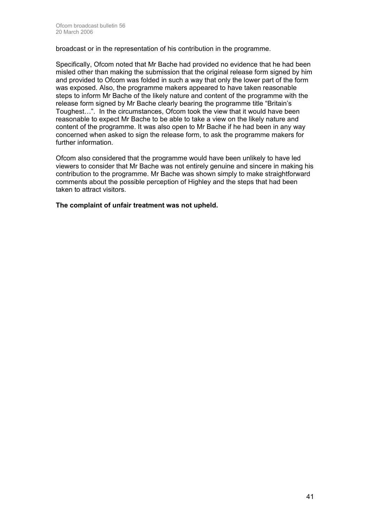broadcast or in the representation of his contribution in the programme.

Specifically, Ofcom noted that Mr Bache had provided no evidence that he had been misled other than making the submission that the original release form signed by him and provided to Ofcom was folded in such a way that only the lower part of the form was exposed. Also, the programme makers appeared to have taken reasonable steps to inform Mr Bache of the likely nature and content of the programme with the release form signed by Mr Bache clearly bearing the programme title "Britain's Toughest…". In the circumstances, Ofcom took the view that it would have been reasonable to expect Mr Bache to be able to take a view on the likely nature and content of the programme. It was also open to Mr Bache if he had been in any way concerned when asked to sign the release form, to ask the programme makers for further information.

Ofcom also considered that the programme would have been unlikely to have led viewers to consider that Mr Bache was not entirely genuine and sincere in making his contribution to the programme. Mr Bache was shown simply to make straightforward comments about the possible perception of Highley and the steps that had been taken to attract visitors.

**The complaint of unfair treatment was not upheld.**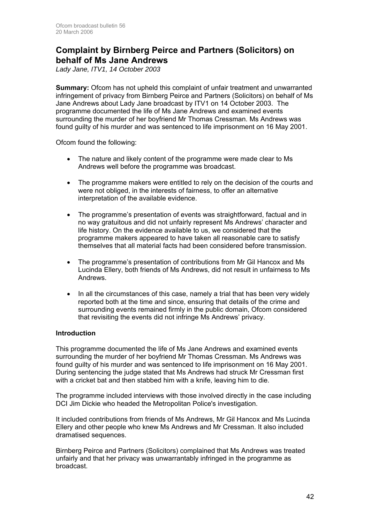# **Complaint by Birnberg Peirce and Partners (Solicitors) on behalf of Ms Jane Andrews**

*Lady Jane, ITV1, 14 October 2003* 

**Summary:** Ofcom has not upheld this complaint of unfair treatment and unwarranted infringement of privacy from Birnberg Peirce and Partners (Solicitors) on behalf of Ms Jane Andrews about Lady Jane broadcast by ITV1 on 14 October 2003. The programme documented the life of Ms Jane Andrews and examined events surrounding the murder of her boyfriend Mr Thomas Cressman. Ms Andrews was found guilty of his murder and was sentenced to life imprisonment on 16 May 2001.

Ofcom found the following:

- The nature and likely content of the programme were made clear to Ms Andrews well before the programme was broadcast.
- The programme makers were entitled to rely on the decision of the courts and were not obliged, in the interests of fairness, to offer an alternative interpretation of the available evidence.
- The programme's presentation of events was straightforward, factual and in no way gratuitous and did not unfairly represent Ms Andrews' character and life history. On the evidence available to us, we considered that the programme makers appeared to have taken all reasonable care to satisfy themselves that all material facts had been considered before transmission.
- The programme's presentation of contributions from Mr Gil Hancox and Ms Lucinda Ellery, both friends of Ms Andrews, did not result in unfairness to Ms Andrews.
- In all the circumstances of this case, namely a trial that has been very widely reported both at the time and since, ensuring that details of the crime and surrounding events remained firmly in the public domain, Ofcom considered that revisiting the events did not infringe Ms Andrews' privacy.

# **Introduction**

This programme documented the life of Ms Jane Andrews and examined events surrounding the murder of her boyfriend Mr Thomas Cressman. Ms Andrews was found guilty of his murder and was sentenced to life imprisonment on 16 May 2001. During sentencing the judge stated that Ms Andrews had struck Mr Cressman first with a cricket bat and then stabbed him with a knife, leaving him to die.

The programme included interviews with those involved directly in the case including DCI Jim Dickie who headed the Metropolitan Police's investigation.

It included contributions from friends of Ms Andrews, Mr Gil Hancox and Ms Lucinda Ellery and other people who knew Ms Andrews and Mr Cressman. It also included dramatised sequences.

Birnberg Peirce and Partners (Solicitors) complained that Ms Andrews was treated unfairly and that her privacy was unwarrantably infringed in the programme as broadcast.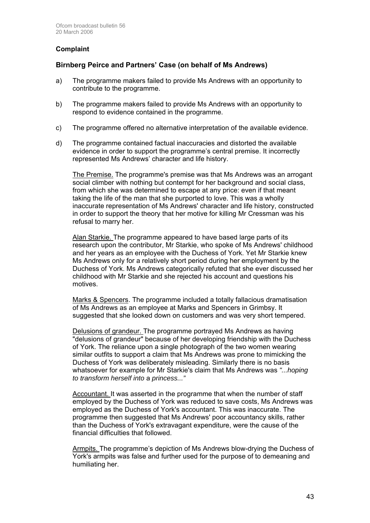# **Complaint**

# **Birnberg Peirce and Partners' Case (on behalf of Ms Andrews)**

- a) The programme makers failed to provide Ms Andrews with an opportunity to contribute to the programme.
- b) The programme makers failed to provide Ms Andrews with an opportunity to respond to evidence contained in the programme.
- c) The programme offered no alternative interpretation of the available evidence.
- d) The programme contained factual inaccuracies and distorted the available evidence in order to support the programme's central premise. It incorrectly represented Ms Andrews' character and life history.

The Premise. The programme's premise was that Ms Andrews was an arrogant social climber with nothing but contempt for her background and social class, from which she was determined to escape at any price: even if that meant taking the life of the man that she purported to love. This was a wholly inaccurate representation of Ms Andrews' character and life history, constructed in order to support the theory that her motive for killing Mr Cressman was his refusal to marry her.

Alan Starkie. The programme appeared to have based large parts of its research upon the contributor, Mr Starkie, who spoke of Ms Andrews' childhood and her years as an employee with the Duchess of York. Yet Mr Starkie knew Ms Andrews only for a relatively short period during her employment by the Duchess of York. Ms Andrews categorically refuted that she ever discussed her childhood with Mr Starkie and she rejected his account and questions his motives.

Marks & Spencers. The programme included a totally fallacious dramatisation of Ms Andrews as an employee at Marks and Spencers in Grimbsy. It suggested that she looked down on customers and was very short tempered.

Delusions of grandeur. The programme portrayed Ms Andrews as having "delusions of grandeur" because of her developing friendship with the Duchess of York. The reliance upon a single photograph of the two women wearing similar outfits to support a claim that Ms Andrews was prone to mimicking the Duchess of York was deliberately misleading. Similarly there is no basis whatsoever for example for Mr Starkie's claim that Ms Andrews was *"...hoping to transform herself into* a *princess..."* 

Accountant. It was asserted in the programme that when the number of staff employed by the Duchess of York was reduced to save costs, Ms Andrews was employed as the Duchess of York's accountant. This was inaccurate. The programme then suggested that Ms Andrews' poor accountancy skills, rather than the Duchess of York's extravagant expenditure, were the cause of the financial difficulties that followed.

Armpits. The programme's depiction of Ms Andrews blow-drying the Duchess of York's armpits was false and further used for the purpose of to demeaning and humiliating her.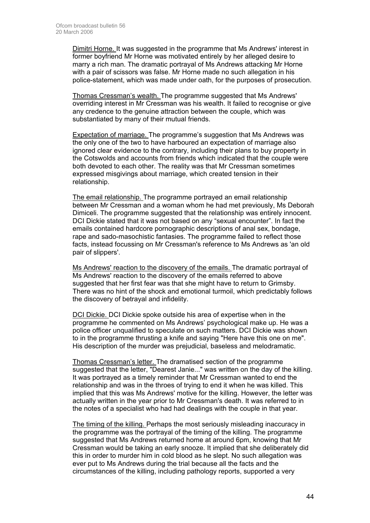Dimitri Horne. It was suggested in the programme that Ms Andrews' interest in former boyfriend Mr Horne was motivated entirely by her alleged desire to marry a rich man. The dramatic portrayal of Ms Andrews attacking Mr Horne with a pair of scissors was false. Mr Horne made no such allegation in his police-statement, which was made under oath, for the purposes of prosecution.

Thomas Cressman's wealth. The programme suggested that Ms Andrews' overriding interest in Mr Cressman was his wealth. It failed to recognise or give any credence to the genuine attraction between the couple, which was substantiated by many of their mutual friends.

Expectation of marriage. The programme's suggestion that Ms Andrews was the only one of the two to have harboured an expectation of marriage also ignored clear evidence to the contrary, including their plans to buy property in the Cotswolds and accounts from friends which indicated that the couple were both devoted to each other. The reality was that Mr Cressman sometimes expressed misgivings about marriage, which created tension in their relationship.

The email relationship. The programme portrayed an email relationship between Mr Cressman and a woman whom he had met previously, Ms Deborah Dimiceli. The programme suggested that the relationship was entirely innocent. DCI Dickie stated that it was not based on any "sexual encounter". In fact the emails contained hardcore pornographic descriptions of anal sex, bondage, rape and sado-masochistic fantasies. The programme failed to reflect those facts, instead focussing on Mr Cressman's reference to Ms Andrews as 'an old pair of slippers'.

Ms Andrews' reaction to the discovery of the emails. The dramatic portrayal of Ms Andrews' reaction to the discovery of the emails referred to above suggested that her first fear was that she might have to return to Grimsby. There was no hint of the shock and emotional turmoil, which predictably follows the discovery of betrayal and infidelity.

DCI Dickie. DCI Dickie spoke outside his area of expertise when in the programme he commented on Ms Andrews' psychological make up. He was a police officer unqualified to speculate on such matters. DCI Dickie was shown to in the programme thrusting a knife and saying "Here have this one on me". His description of the murder was prejudicial, baseless and melodramatic.

Thomas Cressman's letter. The dramatised section of the programme suggested that the letter, "Dearest Janie..." was written on the day of the killing. It was portrayed as a timely reminder that Mr Cressman wanted to end the relationship and was in the throes of trying to end it when he was killed. This implied that this was Ms Andrews' motive for the killing. However, the letter was actually written in the year prior to Mr Cressman's death. It was referred to in the notes of a specialist who had had dealings with the couple in that year.

The timing of the killing. Perhaps the most seriously misleading inaccuracy in the programme was the portrayal of the timing of the killing. The programme suggested that Ms Andrews returned home at around 6pm, knowing that Mr Cressman would be taking an early snooze. It implied that she deliberately did this in order to murder him in cold blood as he slept. No such allegation was ever put to Ms Andrews during the trial because all the facts and the circumstances of the killing, including pathology reports, supported a very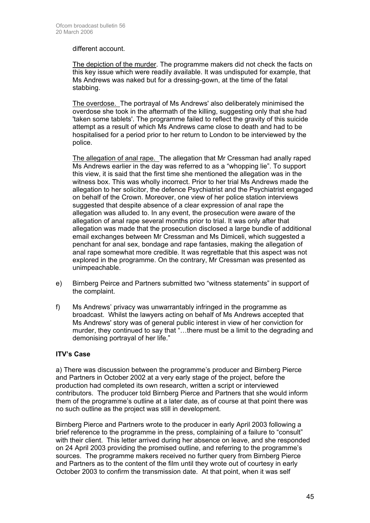different account.

The depiction of the murder. The programme makers did not check the facts on this key issue which were readily available. It was undisputed for example, that Ms Andrews was naked but for a dressing-gown, at the time of the fatal stabbing.

The overdose. The portrayal of Ms Andrews' also deliberately minimised the overdose she took in the aftermath of the killing, suggesting only that she had 'taken some tablets'. The programme failed to reflect the gravity of this suicide attempt as a result of which Ms Andrews came close to death and had to be hospitalised for a period prior to her return to London to be interviewed by the police.

The allegation of anal rape. The allegation that Mr Cressman had anally raped Ms Andrews earlier in the day was referred to as a "whopping lie". To support this view, it is said that the first time she mentioned the allegation was in the witness box. This was wholly incorrect. Prior to her trial Ms Andrews made the allegation to her solicitor, the defence Psychiatrist and the Psychiatrist engaged on behalf of the Crown. Moreover, one view of her police station interviews suggested that despite absence of a clear expression of anal rape the allegation was alluded to. In any event, the prosecution were aware of the allegation of anal rape several months prior to trial. It was only after that allegation was made that the prosecution disclosed a large bundle of additional email exchanges between Mr Cressman and Ms Dimiceli, which suggested a penchant for anal sex, bondage and rape fantasies, making the allegation of anal rape somewhat more credible. It was regrettable that this aspect was not explored in the programme. On the contrary, Mr Cressman was presented as unimpeachable.

- e) Birnberg Peirce and Partners submitted two "witness statements" in support of the complaint.
- f) Ms Andrews' privacy was unwarrantably infringed in the programme as broadcast. Whilst the lawyers acting on behalf of Ms Andrews accepted that Ms Andrews' story was of general public interest in view of her conviction for murder, they continued to say that "…there must be a limit to the degrading and demonising portrayal of her life."

# **ITV's Case**

a) There was discussion between the programme's producer and Birnberg Pierce and Partners in October 2002 at a very early stage of the project, before the production had completed its own research, written a script or interviewed contributors. The producer told Birnberg Pierce and Partners that she would inform them of the programme's outline at a later date, as of course at that point there was no such outline as the project was still in development.

Birnberg Pierce and Partners wrote to the producer in early April 2003 following a brief reference to the programme in the press, complaining of a failure to "consult" with their client. This letter arrived during her absence on leave, and she responded on 24 April 2003 providing the promised outline, and referring to the programme's sources. The programme makers received no further query from Birnberg Pierce and Partners as to the content of the film until they wrote out of courtesy in early October 2003 to confirm the transmission date. At that point, when it was self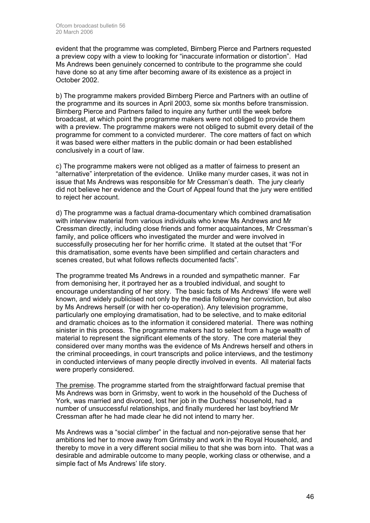evident that the programme was completed, Birnberg Pierce and Partners requested a preview copy with a view to looking for "inaccurate information or distortion". Had Ms Andrews been genuinely concerned to contribute to the programme she could have done so at any time after becoming aware of its existence as a project in October 2002.

b) The programme makers provided Birnberg Pierce and Partners with an outline of the programme and its sources in April 2003, some six months before transmission. Birnberg Pierce and Partners failed to inquire any further until the week before broadcast, at which point the programme makers were not obliged to provide them with a preview. The programme makers were not obliged to submit every detail of the programme for comment to a convicted murderer. The core matters of fact on which it was based were either matters in the public domain or had been established conclusively in a court of law.

c) The programme makers were not obliged as a matter of fairness to present an "alternative" interpretation of the evidence. Unlike many murder cases, it was not in issue that Ms Andrews was responsible for Mr Cressman's death. The jury clearly did not believe her evidence and the Court of Appeal found that the jury were entitled to reject her account.

d) The programme was a factual drama-documentary which combined dramatisation with interview material from various individuals who knew Ms Andrews and Mr Cressman directly, including close friends and former acquaintances, Mr Cressman's family, and police officers who investigated the murder and were involved in successfully prosecuting her for her horrific crime. It stated at the outset that "For this dramatisation, some events have been simplified and certain characters and scenes created, but what follows reflects documented facts".

The programme treated Ms Andrews in a rounded and sympathetic manner. Far from demonising her, it portrayed her as a troubled individual, and sought to encourage understanding of her story. The basic facts of Ms Andrews' life were well known, and widely publicised not only by the media following her conviction, but also by Ms Andrews herself (or with her co-operation). Any television programme, particularly one employing dramatisation, had to be selective, and to make editorial and dramatic choices as to the information it considered material. There was nothing sinister in this process. The programme makers had to select from a huge wealth of material to represent the significant elements of the story. The core material they considered over many months was the evidence of Ms Andrews herself and others in the criminal proceedings, in court transcripts and police interviews, and the testimony in conducted interviews of many people directly involved in events. All material facts were properly considered.

The premise. The programme started from the straightforward factual premise that Ms Andrews was born in Grimsby, went to work in the household of the Duchess of York, was married and divorced, lost her job in the Duchess' household, had a number of unsuccessful relationships, and finally murdered her last boyfriend Mr Cressman after he had made clear he did not intend to marry her.

Ms Andrews was a "social climber" in the factual and non-pejorative sense that her ambitions led her to move away from Grimsby and work in the Royal Household, and thereby to move in a very different social milieu to that she was born into. That was a desirable and admirable outcome to many people, working class or otherwise, and a simple fact of Ms Andrews' life story.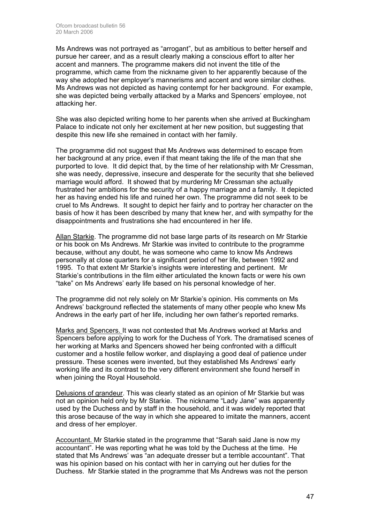Ms Andrews was not portrayed as "arrogant", but as ambitious to better herself and pursue her career, and as a result clearly making a conscious effort to alter her accent and manners. The programme makers did not invent the title of the programme, which came from the nickname given to her apparently because of the way she adopted her employer's mannerisms and accent and wore similar clothes. Ms Andrews was not depicted as having contempt for her background. For example, she was depicted being verbally attacked by a Marks and Spencers' employee, not attacking her.

She was also depicted writing home to her parents when she arrived at Buckingham Palace to indicate not only her excitement at her new position, but suggesting that despite this new life she remained in contact with her family.

The programme did not suggest that Ms Andrews was determined to escape from her background at any price, even if that meant taking the life of the man that she purported to love. It did depict that, by the time of her relationship with Mr Cressman, she was needy, depressive, insecure and desperate for the security that she believed marriage would afford. It showed that by murdering Mr Cressman she actually frustrated her ambitions for the security of a happy marriage and a family. It depicted her as having ended his life and ruined her own. The programme did not seek to be cruel to Ms Andrews. It sought to depict her fairly and to portray her character on the basis of how it has been described by many that knew her, and with sympathy for the disappointments and frustrations she had encountered in her life.

Allan Starkie. The programme did not base large parts of its research on Mr Starkie or his book on Ms Andrews. Mr Starkie was invited to contribute to the programme because, without any doubt, he was someone who came to know Ms Andrews personally at close quarters for a significant period of her life, between 1992 and 1995. To that extent Mr Starkie's insights were interesting and pertinent. Mr Starkie's contributions in the film either articulated the known facts or were his own "take" on Ms Andrews' early life based on his personal knowledge of her.

The programme did not rely solely on Mr Starkie's opinion. His comments on Ms Andrews' background reflected the statements of many other people who knew Ms Andrews in the early part of her life, including her own father's reported remarks.

Marks and Spencers. It was not contested that Ms Andrews worked at Marks and Spencers before applying to work for the Duchess of York. The dramatised scenes of her working at Marks and Spencers showed her being confronted with a difficult customer and a hostile fellow worker, and displaying a good deal of patience under pressure. These scenes were invented, but they established Ms Andrews' early working life and its contrast to the very different environment she found herself in when joining the Royal Household.

Delusions of grandeur. This was clearly stated as an opinion of Mr Starkie but was not an opinion held only by Mr Starkie. The nickname "Lady Jane" was apparently used by the Duchess and by staff in the household, and it was widely reported that this arose because of the way in which she appeared to imitate the manners, accent and dress of her employer.

Accountant. Mr Starkie stated in the programme that "Sarah said Jane is now my accountant". He was reporting what he was told by the Duchess at the time. He stated that Ms Andrews' was "an adequate dresser but a terrible accountant". That was his opinion based on his contact with her in carrying out her duties for the Duchess. Mr Starkie stated in the programme that Ms Andrews was not the person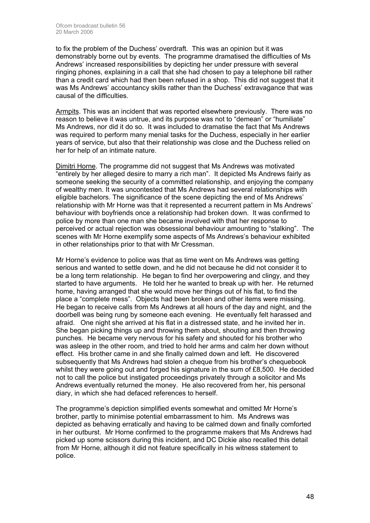to fix the problem of the Duchess' overdraft. This was an opinion but it was demonstrably borne out by events. The programme dramatised the difficulties of Ms Andrews' increased responsibilities by depicting her under pressure with several ringing phones, explaining in a call that she had chosen to pay a telephone bill rather than a credit card which had then been refused in a shop. This did not suggest that it was Ms Andrews' accountancy skills rather than the Duchess' extravagance that was causal of the difficulties.

Armpits. This was an incident that was reported elsewhere previously. There was no reason to believe it was untrue, and its purpose was not to "demean" or "humiliate" Ms Andrews, nor did it do so. It was included to dramatise the fact that Ms Andrews was required to perform many menial tasks for the Duchess, especially in her earlier years of service, but also that their relationship was close and the Duchess relied on her for help of an intimate nature.

Dimitri Horne. The programme did not suggest that Ms Andrews was motivated "entirely by her alleged desire to marry a rich man". It depicted Ms Andrews fairly as someone seeking the security of a committed relationship, and enjoying the company of wealthy men. It was uncontested that Ms Andrews had several relationships with eligible bachelors. The significance of the scene depicting the end of Ms Andrews' relationship with Mr Horne was that it represented a recurrent pattern in Ms Andrews' behaviour with boyfriends once a relationship had broken down. It was confirmed to police by more than one man she became involved with that her response to perceived or actual rejection was obsessional behaviour amounting to "stalking". The scenes with Mr Horne exemplify some aspects of Ms Andrews's behaviour exhibited in other relationships prior to that with Mr Cressman.

Mr Horne's evidence to police was that as time went on Ms Andrews was getting serious and wanted to settle down, and he did not because he did not consider it to be a long term relationship. He began to find her overpowering and clingy, and they started to have arguments. He told her he wanted to break up with her. He returned home, having arranged that she would move her things out of his flat, to find the place a "complete mess". Objects had been broken and other items were missing. He began to receive calls from Ms Andrews at all hours of the day and night, and the doorbell was being rung by someone each evening. He eventually felt harassed and afraid. One night she arrived at his flat in a distressed state, and he invited her in. She began picking things up and throwing them about, shouting and then throwing punches. He became very nervous for his safety and shouted for his brother who was asleep in the other room, and tried to hold her arms and calm her down without effect. His brother came in and she finally calmed down and left. He discovered subsequently that Ms Andrews had stolen a cheque from his brother's chequebook whilst they were going out and forged his signature in the sum of £8,500. He decided not to call the police but instigated proceedings privately through a solicitor and Ms Andrews eventually returned the money. He also recovered from her, his personal diary, in which she had defaced references to herself.

The programme's depiction simplified events somewhat and omitted Mr Horne's brother, partly to minimise potential embarrassment to him. Ms Andrews was depicted as behaving erratically and having to be calmed down and finally comforted in her outburst. Mr Horne confirmed to the programme makers that Ms Andrews had picked up some scissors during this incident, and DC Dickie also recalled this detail from Mr Horne, although it did not feature specifically in his witness statement to police.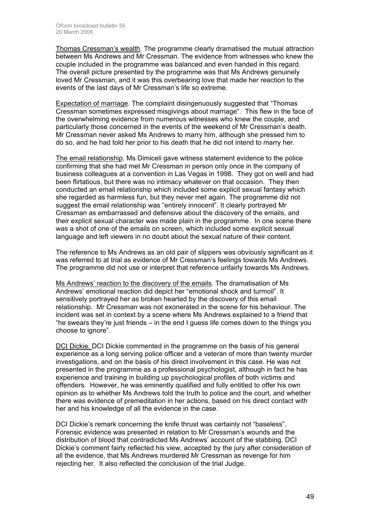Thomas Cressman's wealth. The programme clearly dramatised the mutual attraction between Ms Andrews and Mr Cressman. The evidence from witnesses who knew the couple included in the programme was balanced and even handed in this regard. The overall picture presented by the programme was that Ms Andrews genuinely loved Mr Cressman, and it was this overbearing love that made her reaction to the events of the last days of Mr Cressman's life so extreme.

Expectation of marriage. The complaint disingenuously suggested that "Thomas Cressman sometimes expressed misgivings about marriage". This flew in the face of the overwhelming evidence from numerous witnesses who knew the couple, and particularly those concerned in the events of the weekend of Mr Cressman's death. Mr Cressman never asked Ms Andrews to marry him, although she pressed him to do so, and he had told her prior to his death that he did not intend to marry her.

The email relationship. Ms Dimiceli gave witness statement evidence to the police confirming that she had met Mr Cressman in person only once in the company of business colleagues at a convention in Las Vegas in 1998. They got on well and had been flirtatious, but there was no intimacy whatever on that occasion. They then conducted an email relationship which included some explicit sexual fantasy which she regarded as harmless fun, but they never met again. The programme did not suggest the email relationship was "entirely innocent". It clearly portrayed Mr Cressman as embarrassed and defensive about the discovery of the emails, and their explicit sexual character was made plain in the programme. In one scene there was a shot of one of the emails on screen, which included some explicit sexual language and left viewers in no doubt about the sexual nature of their content.

The reference to Ms Andrews as an old pair of slippers was obviously significant as it was referred to at trial as evidence of Mr Cressman's feelings towards Ms Andrews. The programme did not use or interpret that reference unfairly towards Ms Andrews.

Ms Andrews' reaction to the discovery of the emails. The dramatisation of Ms Andrews' emotional reaction did depict her "emotional shock and turmoil". It sensitively portrayed her as broken hearted by the discovery of this email relationship. Mr Cressman was not exonerated in the scene for his behaviour. The incident was set in context by a scene where Ms Andrews explained to a friend that "he swears they're just friends – in the end I guess life comes down to the things you choose to ignore".

DCI Dickie. DCI Dickie commented in the programme on the basis of his general experience as a long serving police officer and a veteran of more than twenty murder investigations, and on the basis of his direct involvement in this case. He was not presented in the programme as a professional psychologist, although in fact he has experience and training in building up psychological profiles of both victims and offenders. However, he was eminently qualified and fully entitled to offer his own opinion as to whether Ms Andrews told the truth to police and the court, and whether there was evidence of premeditation in her actions, based on his direct contact with her and his knowledge of all the evidence in the case.

DCI Dickie's remark concerning the knife thrust was certainly not "baseless". Forensic evidence was presented in relation to Mr Cressman's wounds and the distribution of blood that contradicted Ms Andrews' account of the stabbing. DCI Dickie's comment fairly reflected his view, accepted by the jury after consideration of all the evidence, that Ms Andrews murdered Mr Cressman as revenge for him rejecting her. It also reflected the conclusion of the trial Judge.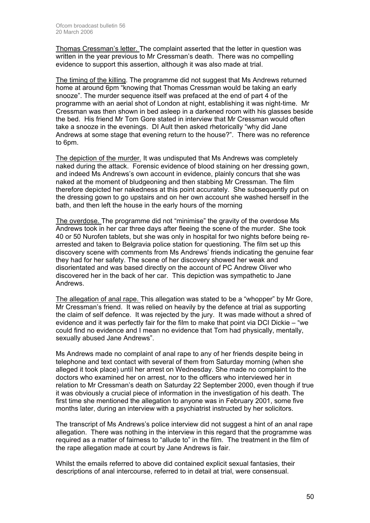Thomas Cressman's letter. The complaint asserted that the letter in question was written in the year previous to Mr Cressman's death. There was no compelling evidence to support this assertion, although it was also made at trial.

The timing of the killing. The programme did not suggest that Ms Andrews returned home at around 6pm "knowing that Thomas Cressman would be taking an early snooze". The murder sequence itself was prefaced at the end of part 4 of the programme with an aerial shot of London at night, establishing it was night-time. Mr Cressman was then shown in bed asleep in a darkened room with his glasses beside the bed. His friend Mr Tom Gore stated in interview that Mr Cressman would often take a snooze in the evenings. DI Ault then asked rhetorically "why did Jane Andrews at some stage that evening return to the house?". There was no reference to 6pm.

The depiction of the murder. It was undisputed that Ms Andrews was completely naked during the attack. Forensic evidence of blood staining on her dressing gown, and indeed Ms Andrews's own account in evidence, plainly concurs that she was naked at the moment of bludgeoning and then stabbing Mr Cressman. The film therefore depicted her nakedness at this point accurately. She subsequently put on the dressing gown to go upstairs and on her own account she washed herself in the bath, and then left the house in the early hours of the morning

The overdose. The programme did not "minimise" the gravity of the overdose Ms Andrews took in her car three days after fleeing the scene of the murder. She took 40 or 50 Nurofen tablets, but she was only in hospital for two nights before being rearrested and taken to Belgravia police station for questioning. The film set up this discovery scene with comments from Ms Andrews' friends indicating the genuine fear they had for her safety. The scene of her discovery showed her weak and disorientated and was based directly on the account of PC Andrew Oliver who discovered her in the back of her car. This depiction was sympathetic to Jane Andrews.

The allegation of anal rape. This allegation was stated to be a "whopper" by Mr Gore, Mr Cressman's friend. It was relied on heavily by the defence at trial as supporting the claim of self defence. It was rejected by the jury. It was made without a shred of evidence and it was perfectly fair for the film to make that point via DCI Dickie – "we could find no evidence and I mean no evidence that Tom had physically, mentally, sexually abused Jane Andrews".

Ms Andrews made no complaint of anal rape to any of her friends despite being in telephone and text contact with several of them from Saturday morning (when she alleged it took place) until her arrest on Wednesday. She made no complaint to the doctors who examined her on arrest, nor to the officers who interviewed her in relation to Mr Cressman's death on Saturday 22 September 2000, even though if true it was obviously a crucial piece of information in the investigation of his death. The first time she mentioned the allegation to anyone was in February 2001, some five months later, during an interview with a psychiatrist instructed by her solicitors.

The transcript of Ms Andrews's police interview did not suggest a hint of an anal rape allegation. There was nothing in the interview in this regard that the programme was required as a matter of fairness to "allude to" in the film. The treatment in the film of the rape allegation made at court by Jane Andrews is fair.

Whilst the emails referred to above did contained explicit sexual fantasies, their descriptions of anal intercourse, referred to in detail at trial, were consensual.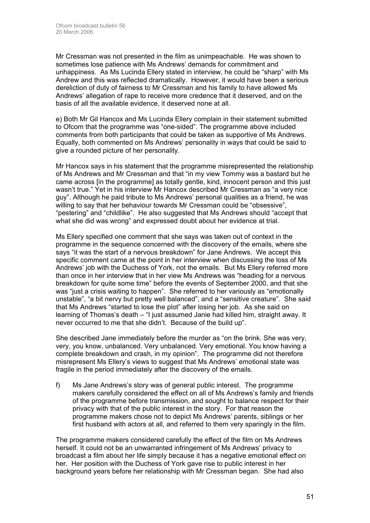Mr Cressman was not presented in the film as unimpeachable. He was shown to sometimes lose patience with Ms Andrews' demands for commitment and unhappiness. As Ms Lucinda Ellery stated in interview, he could be "sharp" with Ms Andrew and this was reflected dramatically. However, it would have been a serious dereliction of duty of fairness to Mr Cressman and his family to have allowed Ms Andrews' allegation of rape to receive more credence that it deserved, and on the basis of all the available evidence, it deserved none at all.

e) Both Mr Gil Hancox and Ms Lucinda Ellery complain in their statement submitted to Ofcom that the programme was "one-sided". The programme above included comments from both participants that could be taken as supportive of Ms Andrews. Equally, both commented on Ms Andrews' personality in ways that could be said to give a rounded picture of her personality.

Mr Hancox says in his statement that the programme misrepresented the relationship of Ms Andrews and Mr Cressman and that "in my view Tommy was a bastard but he came across [in the programme] as totally gentle, kind, innocent person and this just wasn't true." Yet in his interview Mr Hancox described Mr Cressman as "a very nice guy". Although he paid tribute to Ms Andrews' personal qualities as a friend, he was willing to say that her behaviour towards Mr Cressman could be "obsessive", "pestering" and "childlike". He also suggested that Ms Andrews should "accept that what she did was wrong" and expressed doubt about her evidence at trial.

Ms Ellery specified one comment that she says was taken out of context in the programme in the sequence concerned with the discovery of the emails, where she says "it was the start of a nervous breakdown" for Jane Andrews. We accept this specific comment came at the point in her interview when discussing the loss of Ms Andrews' job with the Duchess of York, not the emails. But Ms Ellery referred more than once in her interview that in her view Ms Andrews was "heading for a nervous breakdown for quite some time" before the events of September 2000, and that she was "just a crisis waiting to happen". She referred to her variously as "emotionally unstable", "a bit nervy but pretty well balanced", and a "sensitive creature". She said that Ms Andrews "started to lose the plot" after losing her job. As she said on learning of Thomas's death – "I just assumed Janie had killed him, straight away. It never occurred to me that she didn't. Because of the build up".

She described Jane immediately before the murder as "on the brink. She was very, very, you know, unbalanced. Very unbalanced. Very emotional. You know having a complete breakdown and crash, in my opinion". The programme did not therefore misrepresent Ms Ellery's views to suggest that Ms Andrews' emotional state was fragile in the period immediately after the discovery of the emails.

f) Ms Jane Andrews's story was of general public interest. The programme makers carefully considered the effect on all of Ms Andrews's family and friends of the programme before transmission, and sought to balance respect for their privacy with that of the public interest in the story. For that reason the programme makers chose not to depict Ms Andrews' parents, siblings or her first husband with actors at all, and referred to them very sparingly in the film.

The programme makers considered carefully the effect of the film on Ms Andrews herself. It could not be an unwarranted infringement of Ms Andrews' privacy to broadcast a film about her life simply because it has a negative emotional effect on her. Her position with the Duchess of York gave rise to public interest in her background years before her relationship with Mr Cressman began. She had also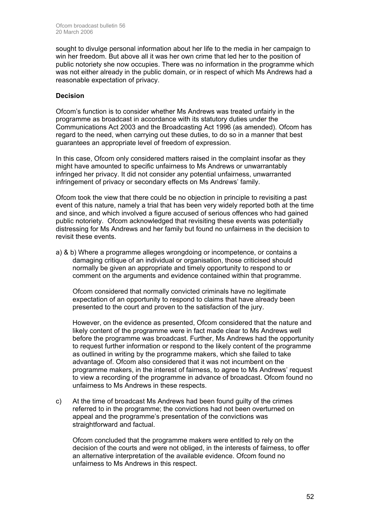sought to divulge personal information about her life to the media in her campaign to win her freedom. But above all it was her own crime that led her to the position of public notoriety she now occupies. There was no information in the programme which was not either already in the public domain, or in respect of which Ms Andrews had a reasonable expectation of privacy.

### **Decision**

Ofcom's function is to consider whether Ms Andrews was treated unfairly in the programme as broadcast in accordance with its statutory duties under the Communications Act 2003 and the Broadcasting Act 1996 (as amended). Ofcom has regard to the need, when carrying out these duties, to do so in a manner that best guarantees an appropriate level of freedom of expression.

In this case, Ofcom only considered matters raised in the complaint insofar as they might have amounted to specific unfairness to Ms Andrews or unwarrantably infringed her privacy. It did not consider any potential unfairness, unwarranted infringement of privacy or secondary effects on Ms Andrews' family.

Ofcom took the view that there could be no objection in principle to revisiting a past event of this nature, namely a trial that has been very widely reported both at the time and since, and which involved a figure accused of serious offences who had gained public notoriety. Ofcom acknowledged that revisiting these events was potentially distressing for Ms Andrews and her family but found no unfairness in the decision to revisit these events.

a) & b) Where a programme alleges wrongdoing or incompetence, or contains a damaging critique of an individual or organisation, those criticised should normally be given an appropriate and timely opportunity to respond to or comment on the arguments and evidence contained within that programme.

Ofcom considered that normally convicted criminals have no legitimate expectation of an opportunity to respond to claims that have already been presented to the court and proven to the satisfaction of the jury.

However, on the evidence as presented, Ofcom considered that the nature and likely content of the programme were in fact made clear to Ms Andrews well before the programme was broadcast. Further, Ms Andrews had the opportunity to request further information or respond to the likely content of the programme as outlined in writing by the programme makers, which she failed to take advantage of. Ofcom also considered that it was not incumbent on the programme makers, in the interest of fairness, to agree to Ms Andrews' request to view a recording of the programme in advance of broadcast. Ofcom found no unfairness to Ms Andrews in these respects.

c) At the time of broadcast Ms Andrews had been found guilty of the crimes referred to in the programme; the convictions had not been overturned on appeal and the programme's presentation of the convictions was straightforward and factual.

Ofcom concluded that the programme makers were entitled to rely on the decision of the courts and were not obliged, in the interests of fairness, to offer an alternative interpretation of the available evidence. Ofcom found no unfairness to Ms Andrews in this respect.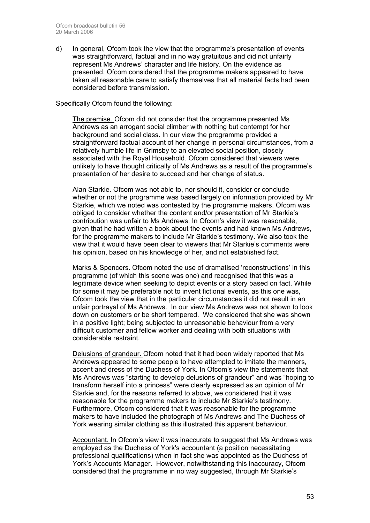d) In general, Ofcom took the view that the programme's presentation of events was straightforward, factual and in no way gratuitous and did not unfairly represent Ms Andrews' character and life history. On the evidence as presented, Ofcom considered that the programme makers appeared to have taken all reasonable care to satisfy themselves that all material facts had been considered before transmission.

Specifically Ofcom found the following:

The premise. Ofcom did not consider that the programme presented Ms Andrews as an arrogant social climber with nothing but contempt for her background and social class. In our view the programme provided a straightforward factual account of her change in personal circumstances, from a relatively humble life in Grimsby to an elevated social position, closely associated with the Royal Household. Ofcom considered that viewers were unlikely to have thought critically of Ms Andrews as a result of the programme's presentation of her desire to succeed and her change of status.

Alan Starkie. Ofcom was not able to, nor should it, consider or conclude whether or not the programme was based largely on information provided by Mr Starkie, which we noted was contested by the programme makers. Ofcom was obliged to consider whether the content and/or presentation of Mr Starkie's contribution was unfair to Ms Andrews. In Ofcom's view it was reasonable, given that he had written a book about the events and had known Ms Andrews, for the programme makers to include Mr Starkie's testimony. We also took the view that it would have been clear to viewers that Mr Starkie's comments were his opinion, based on his knowledge of her, and not established fact.

Marks & Spencers. Ofcom noted the use of dramatised 'reconstructions' in this programme (of which this scene was one) and recognised that this was a legitimate device when seeking to depict events or a story based on fact. While for some it may be preferable not to invent fictional events, as this one was, Ofcom took the view that in the particular circumstances it did not result in an unfair portrayal of Ms Andrews. In our view Ms Andrews was not shown to look down on customers or be short tempered. We considered that she was shown in a positive light; being subjected to unreasonable behaviour from a very difficult customer and fellow worker and dealing with both situations with considerable restraint.

Delusions of grandeur. Ofcom noted that it had been widely reported that Ms Andrews appeared to some people to have attempted to imitate the manners, accent and dress of the Duchess of York. In Ofcom's view the statements that Ms Andrews was "starting to develop delusions of grandeur" and was "hoping to transform herself into a princess" were clearly expressed as an opinion of Mr Starkie and, for the reasons referred to above, we considered that it was reasonable for the programme makers to include Mr Starkie's testimony. Furthermore, Ofcom considered that it was reasonable for the programme makers to have included the photograph of Ms Andrews and The Duchess of York wearing similar clothing as this illustrated this apparent behaviour.

Accountant. In Ofcom's view it was inaccurate to suggest that Ms Andrews was employed as the Duchess of York's accountant (a position necessitating professional qualifications) when in fact she was appointed as the Duchess of York's Accounts Manager. However, notwithstanding this inaccuracy, Ofcom considered that the programme in no way suggested, through Mr Starkie's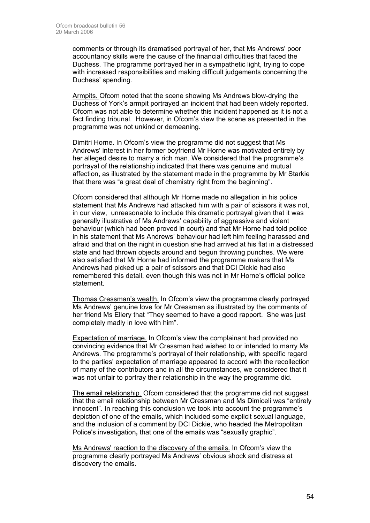comments or through its dramatised portrayal of her, that Ms Andrews' poor accountancy skills were the cause of the financial difficulties that faced the Duchess. The programme portrayed her in a sympathetic light, trying to cope with increased responsibilities and making difficult judgements concerning the Duchess' spending.

Armpits. Ofcom noted that the scene showing Ms Andrews blow-drying the Duchess of York's armpit portrayed an incident that had been widely reported. Ofcom was not able to determine whether this incident happened as it is not a fact finding tribunal. However, in Ofcom's view the scene as presented in the programme was not unkind or demeaning.

Dimitri Horne. In Ofcom's view the programme did not suggest that Ms Andrews' interest in her former boyfriend Mr Horne was motivated entirely by her alleged desire to marry a rich man. We considered that the programme's portrayal of the relationship indicated that there was genuine and mutual affection, as illustrated by the statement made in the programme by Mr Starkie that there was "a great deal of chemistry right from the beginning".

Ofcom considered that although Mr Horne made no allegation in his police statement that Ms Andrews had attacked him with a pair of scissors it was not, in our view, unreasonable to include this dramatic portrayal given that it was generally illustrative of Ms Andrews' capability of aggressive and violent behaviour (which had been proved in court) and that Mr Horne had told police in his statement that Ms Andrews' behaviour had left him feeling harassed and afraid and that on the night in question she had arrived at his flat in a distressed state and had thrown objects around and begun throwing punches. We were also satisfied that Mr Horne had informed the programme makers that Ms Andrews had picked up a pair of scissors and that DCI Dickie had also remembered this detail, even though this was not in Mr Horne's official police statement.

Thomas Cressman's wealth. In Ofcom's view the programme clearly portrayed Ms Andrews' genuine love for Mr Cressman as illustrated by the comments of her friend Ms Ellery that "They seemed to have a good rapport. She was just completely madly in love with him".

Expectation of marriage. In Ofcom's view the complainant had provided no convincing evidence that Mr Cressman had wished to or intended to marry Ms Andrews. The programme's portrayal of their relationship, with specific regard to the parties' expectation of marriage appeared to accord with the recollection of many of the contributors and in all the circumstances, we considered that it was not unfair to portray their relationship in the way the programme did.

The email relationship. Ofcom considered that the programme did not suggest that the email relationship between Mr Cressman and Ms Dimiceli was "entirely innocent". In reaching this conclusion we took into account the programme's depiction of one of the emails, which included some explicit sexual language, and the inclusion of a comment by DCI Dickie, who headed the Metropolitan Police's investigation**,** that one of the emails was "sexually graphic".

Ms Andrews' reaction to the discovery of the emails. In Ofcom's view the programme clearly portrayed Ms Andrews' obvious shock and distress at discovery the emails.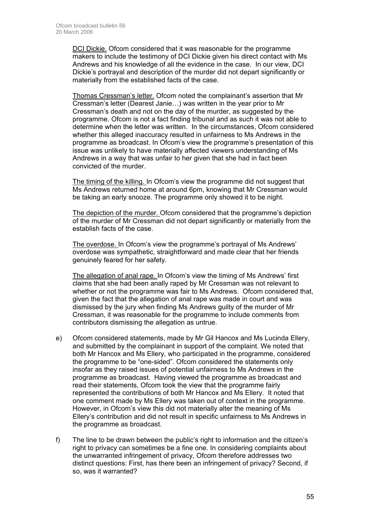DCI Dickie. Ofcom considered that it was reasonable for the programme makers to include the testimony of DCI Dickie given his direct contact with Ms Andrews and his knowledge of all the evidence in the case. In our view, DCI Dickie's portrayal and description of the murder did not depart significantly or materially from the established facts of the case.

Thomas Cressman's letter. Ofcom noted the complainant's assertion that Mr Cressman's letter (Dearest Janie…) was written in the year prior to Mr Cressman's death and not on the day of the murder, as suggested by the programme. Ofcom is not a fact finding tribunal and as such it was not able to determine when the letter was written. In the circumstances, Ofcom considered whether this alleged inaccuracy resulted in unfairness to Ms Andrews in the programme as broadcast. In Ofcom's view the programme's presentation of this issue was unlikely to have materially affected viewers understanding of Ms Andrews in a way that was unfair to her given that she had in fact been convicted of the murder.

The timing of the killing. In Ofcom's view the programme did not suggest that Ms Andrews returned home at around 6pm, knowing that Mr Cressman would be taking an early snooze. The programme only showed it to be night.

The depiction of the murder. Ofcom considered that the programme's depiction of the murder of Mr Cressman did not depart significantly or materially from the establish facts of the case.

The overdose. In Ofcom's view the programme's portrayal of Ms Andrews' overdose was sympathetic, straightforward and made clear that her friends genuinely feared for her safety.

The allegation of anal rape. In Ofcom's view the timing of Ms Andrews' first claims that she had been anally raped by Mr Cressman was not relevant to whether or not the programme was fair to Ms Andrews. Ofcom considered that, given the fact that the allegation of anal rape was made in court and was dismissed by the jury when finding Ms Andrews guilty of the murder of Mr Cressman, it was reasonable for the programme to include comments from contributors dismissing the allegation as untrue.

- e) Ofcom considered statements, made by Mr Gil Hancox and Ms Lucinda Ellery, and submitted by the complainant in support of the complaint. We noted that both Mr Hancox and Ms Ellery, who participated in the programme, considered the programme to be "one-sided". Ofcom considered the statements only insofar as they raised issues of potential unfairness to Ms Andrews in the programme as broadcast. Having viewed the programme as broadcast and read their statements, Ofcom took the view that the programme fairly represented the contributions of both Mr Hancox and Ms Ellery. It noted that one comment made by Ms Ellery was taken out of context in the programme. However, in Ofcom's view this did not materially alter the meaning of Ms Ellery's contribution and did not result in specific unfairness to Ms Andrews in the programme as broadcast.
- f) The line to be drawn between the public's right to information and the citizen's right to privacy can sometimes be a fine one. In considering complaints about the unwarranted infringement of privacy, Ofcom therefore addresses two distinct questions: First, has there been an infringement of privacy? Second, if so, was it warranted?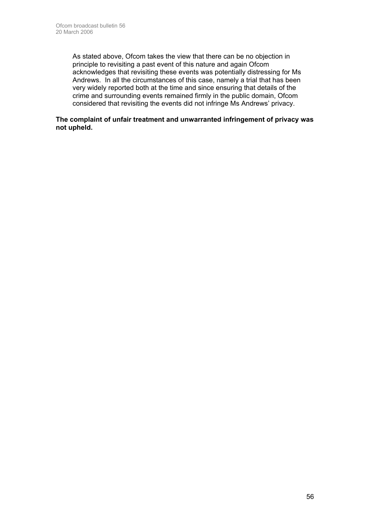As stated above, Ofcom takes the view that there can be no objection in principle to revisiting a past event of this nature and again Ofcom acknowledges that revisiting these events was potentially distressing for Ms Andrews. In all the circumstances of this case, namely a trial that has been very widely reported both at the time and since ensuring that details of the crime and surrounding events remained firmly in the public domain, Ofcom considered that revisiting the events did not infringe Ms Andrews' privacy.

**The complaint of unfair treatment and unwarranted infringement of privacy was not upheld.**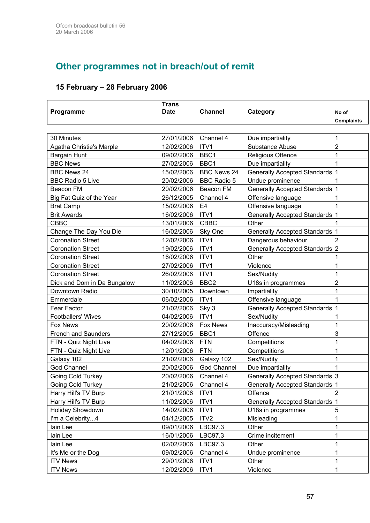# **Other programmes not in breach/out of remit**

# **15 February – 28 February 2006**

| Programme                   | <b>Trans</b><br><b>Date</b> | <b>Channel</b>     | Category                              | No of             |
|-----------------------------|-----------------------------|--------------------|---------------------------------------|-------------------|
|                             |                             |                    |                                       | <b>Complaints</b> |
|                             |                             |                    |                                       |                   |
| 30 Minutes                  | 27/01/2006                  | Channel 4          | Due impartiality                      | 1                 |
| Agatha Christie's Marple    | 12/02/2006                  | ITV1               | <b>Substance Abuse</b>                | $\overline{2}$    |
| Bargain Hunt                | 09/02/2006                  | BBC1               | Religious Offence                     | 1                 |
| <b>BBC News</b>             | 27/02/2006                  | BBC1               | Due impartiality                      | 1                 |
| <b>BBC News 24</b>          | 15/02/2006                  | <b>BBC News 24</b> | <b>Generally Accepted Standards 1</b> |                   |
| <b>BBC Radio 5 Live</b>     | 20/02/2006                  | <b>BBC Radio 5</b> | Undue prominence                      |                   |
| <b>Beacon FM</b>            | 20/02/2006                  | Beacon FM          | <b>Generally Accepted Standards 1</b> |                   |
| Big Fat Quiz of the Year    | 26/12/2005                  | Channel 4          | Offensive language                    | 1                 |
| <b>Brat Camp</b>            | 15/02/2006                  | E4                 | Offensive language                    |                   |
| <b>Brit Awards</b>          | 16/02/2006                  | ITV1               | <b>Generally Accepted Standards 1</b> |                   |
| <b>CBBC</b>                 | 13/01/2006                  | <b>CBBC</b>        | Other                                 |                   |
| Change The Day You Die      | 16/02/2006                  | Sky One            | <b>Generally Accepted Standards 1</b> |                   |
| <b>Coronation Street</b>    | 12/02/2006                  | ITV <sub>1</sub>   | Dangerous behaviour                   | $\overline{2}$    |
| <b>Coronation Street</b>    | 19/02/2006                  | ITV1               | <b>Generally Accepted Standards 2</b> |                   |
| <b>Coronation Street</b>    | 16/02/2006                  | ITV1               | Other                                 |                   |
| <b>Coronation Street</b>    | 27/02/2006                  | ITV1               | Violence                              | 1                 |
| <b>Coronation Street</b>    | 26/02/2006                  | ITV1               | Sex/Nudity                            | 1                 |
| Dick and Dom in Da Bungalow | 11/02/2006                  | BBC <sub>2</sub>   | U18s in programmes                    | 2                 |
| Downtown Radio              | 30/10/2005                  | Downtown           | Impartiality                          | 1                 |
| Emmerdale                   | 06/02/2006                  | ITV1               | Offensive language                    | 1                 |
| Fear Factor                 | 21/02/2006                  | Sky 3              | <b>Generally Accepted Standards 1</b> |                   |
| <b>Footballers' Wives</b>   | 04/02/2006                  | ITV1               | Sex/Nudity                            | 1                 |
| Fox News                    | 20/02/2006                  | Fox News           | Inaccuracy/Misleading                 | 1                 |
| <b>French and Saunders</b>  | 27/12/2005                  | BBC1               | Offence                               | 3                 |
| FTN - Quiz Night Live       | 04/02/2006                  | <b>FTN</b>         | Competitions                          | 1                 |
| FTN - Quiz Night Live       | 12/01/2006                  | <b>FTN</b>         | Competitions                          | 1                 |
| Galaxy 102                  | 21/02/2006                  | Galaxy 102         | Sex/Nudity                            | 1                 |
| <b>God Channel</b>          | 20/02/2006                  | <b>God Channel</b> | Due impartiality                      | 1                 |
| Going Cold Turkey           | 20/02/2006                  | Channel 4          | <b>Generally Accepted Standards 3</b> |                   |
| Going Cold Turkey           | 21/02/2006                  | Channel 4          | <b>Generally Accepted Standards 1</b> |                   |
| Harry Hill's TV Burp        | 21/01/2006                  | ITV1               | Offence                               | 2                 |
| Harry Hill's TV Burp        | 11/02/2006                  | ITV1               | <b>Generally Accepted Standards 1</b> |                   |
| <b>Holiday Showdown</b>     | 14/02/2006                  | ITV1               | U18s in programmes                    | 5                 |
| I'm a Celebrity4            | 04/12/2005                  | ITV <sub>2</sub>   | Misleading                            | 1                 |
| lain Lee                    | 09/01/2006                  | LBC97.3            | Other                                 | 1                 |
| lain Lee                    | 16/01/2006                  | LBC97.3            | Crime incitement                      | 1                 |
| lain Lee                    | 02/02/2006                  | LBC97.3            | Other                                 | 1                 |
| It's Me or the Dog          | 09/02/2006                  | Channel 4          | Undue prominence                      | 1                 |
| <b>ITV News</b>             | 29/01/2006                  | ITV1               | Other                                 | 1                 |
| <b>ITV News</b>             | 12/02/2006                  | ITV1               | Violence                              | 1                 |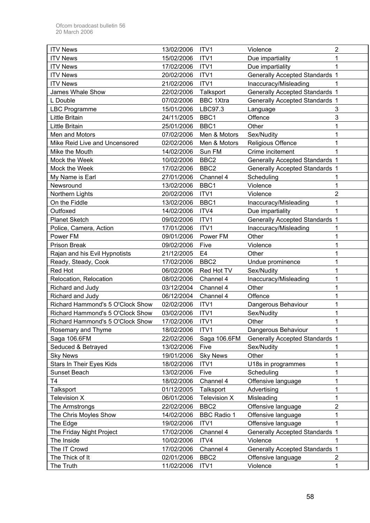| <b>ITV News</b>                  | 13/02/2006 | ITV1               | Violence                              | 2              |
|----------------------------------|------------|--------------------|---------------------------------------|----------------|
| <b>ITV News</b>                  | 15/02/2006 | ITV1               | Due impartiality                      |                |
| <b>ITV News</b>                  | 17/02/2006 | ITV1               | Due impartiality                      | 1              |
| <b>ITV News</b>                  | 20/02/2006 | ITV1               | <b>Generally Accepted Standards 1</b> |                |
| <b>ITV News</b>                  | 21/02/2006 | ITV1               | Inaccuracy/Misleading                 |                |
| James Whale Show                 | 22/02/2006 | Talksport          | <b>Generally Accepted Standards 1</b> |                |
| L Double                         | 07/02/2006 | <b>BBC 1Xtra</b>   | <b>Generally Accepted Standards 1</b> |                |
| <b>LBC Programme</b>             | 15/01/2006 | LBC97.3            | Language                              | 3              |
| Little Britain                   | 24/11/2005 | BBC1               | Offence                               | 3              |
| Little Britain                   | 25/01/2006 | BBC1               | Other                                 | 1              |
| Men and Motors                   | 07/02/2006 | Men & Motors       | Sex/Nudity                            | 1              |
| Mike Reid Live and Uncensored    | 02/02/2006 | Men & Motors       | Religious Offence                     | 1              |
| Mike the Mouth                   | 14/02/2006 | Sun FM             | Crime incitement                      | 1              |
| Mock the Week                    | 10/02/2006 | BBC <sub>2</sub>   | <b>Generally Accepted Standards 1</b> |                |
| Mock the Week                    | 17/02/2006 | BBC <sub>2</sub>   | <b>Generally Accepted Standards 1</b> |                |
| My Name is Earl                  | 27/01/2006 | Channel 4          | Scheduling                            |                |
| Newsround                        | 13/02/2006 | BBC1               | Violence                              | 1              |
| Northern Lights                  | 20/02/2006 | ITV1               | Violence                              | 2              |
| On the Fiddle                    | 13/02/2006 | BBC1               | Inaccuracy/Misleading                 | 1              |
| Outfoxed                         | 14/02/2006 | ITV4               | Due impartiality                      | 1              |
| <b>Planet Sketch</b>             | 09/02/2006 | ITV1               | <b>Generally Accepted Standards 1</b> |                |
| Police, Camera, Action           | 17/01/2006 | ITV1               | Inaccuracy/Misleading                 |                |
| Power FM                         | 09/01/2006 | Power FM           | Other                                 | 1              |
| <b>Prison Break</b>              | 09/02/2006 | Five               | Violence                              | 1              |
| Rajan and his Evil Hypnotists    | 21/12/2005 | E <sub>4</sub>     | Other                                 | 1              |
| Ready, Steady, Cook              | 17/02/2006 | BBC <sub>2</sub>   | Undue prominence                      | 1              |
| <b>Red Hot</b>                   | 06/02/2006 | Red Hot TV         | Sex/Nudity                            | 1              |
| Relocation, Relocation           | 08/02/2006 | Channel 4          | Inaccuracy/Misleading                 | 1              |
| Richard and Judy                 | 03/12/2004 | Channel 4          | Other                                 | 1              |
| Richard and Judy                 | 06/12/2004 | Channel 4          | Offence                               | 1              |
| Richard Hammond's 5 O'Clock Show | 02/02/2006 | ITV1               | Dangerous Behaviour                   | 1              |
| Richard Hammond's 5 O'Clock Show | 03/02/2006 | ITV1               | Sex/Nudity                            | 1              |
| Richard Hammond's 5 O'Clock Show | 17/02/2006 | ITV1               | Other                                 | 1              |
| Rosemary and Thyme               | 18/02/2006 | ITV1               | Dangerous Behaviour                   | 1              |
| Saga 106.6FM                     | 22/02/2006 | Saga 106.6FM       | <b>Generally Accepted Standards 1</b> |                |
| Seduced & Betrayed               | 13/02/2006 | Five               | Sex/Nudity                            | 1              |
| <b>Sky News</b>                  | 19/01/2006 | <b>Sky News</b>    | Other                                 | 1              |
| Stars In Their Eyes Kids         | 18/02/2006 | ITV1               | U18s in programmes                    | 1              |
| Sunset Beach                     | 13/02/2006 | Five               | Scheduling                            | 1              |
| T4                               | 18/02/2006 | Channel 4          | Offensive language                    | 1              |
| <b>Talksport</b>                 | 01/12/2005 | Talksport          | Advertising                           | 1              |
| Television X                     | 06/01/2006 | Television X       | Misleading                            | 1              |
| The Armstrongs                   | 22/02/2006 | BBC <sub>2</sub>   | Offensive language                    | 2              |
| The Chris Moyles Show            | 14/02/2006 | <b>BBC Radio 1</b> | Offensive language                    | 1              |
| The Edge                         | 19/02/2006 | ITV1               | Offensive language                    | 1              |
| The Friday Night Project         | 17/02/2006 | Channel 4          | <b>Generally Accepted Standards 1</b> |                |
| The Inside                       | 10/02/2006 | ITV4               | Violence                              | 1              |
| The IT Crowd                     | 17/02/2006 | Channel 4          |                                       |                |
| The Thick of It                  | 02/01/2006 | BBC <sub>2</sub>   | <b>Generally Accepted Standards 1</b> | $\overline{2}$ |
|                                  |            |                    | Offensive language                    |                |
| The Truth                        | 11/02/2006 | ITV1               | Violence                              | 1              |